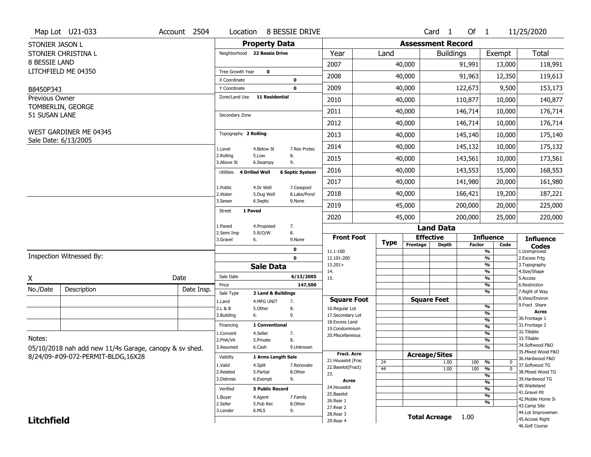|                   | Map Lot U21-033                                        | Account 2504 | Location                 | 8 BESSIE DRIVE                    |                           |                                    |             |                          | Card <sub>1</sub>    | Of $1$        |                                | 11/25/2020                           |
|-------------------|--------------------------------------------------------|--------------|--------------------------|-----------------------------------|---------------------------|------------------------------------|-------------|--------------------------|----------------------|---------------|--------------------------------|--------------------------------------|
| STONIER JASON L   |                                                        |              |                          | <b>Property Data</b>              |                           |                                    |             | <b>Assessment Record</b> |                      |               |                                |                                      |
|                   | STONIER CHRISTINA L                                    |              |                          | Neighborhood 22 Bessie Drive      |                           | Year                               | Land        |                          | <b>Buildings</b>     |               | Exempt                         | <b>Total</b>                         |
| 8 BESSIE LAND     |                                                        |              |                          |                                   |                           | 2007                               |             | 40,000                   |                      | 91,991        | 13,000                         | 118,991                              |
|                   | LITCHFIELD ME 04350                                    |              | Tree Growth Year         | $\mathbf 0$                       |                           |                                    |             |                          |                      |               |                                |                                      |
|                   |                                                        |              | X Coordinate             |                                   | 0                         | 2008                               |             | 40,000                   |                      | 91,963        | 12,350                         | 119,613                              |
| B8450P343         |                                                        |              | Y Coordinate             |                                   | 0                         | 2009                               |             | 40,000                   |                      | 122,673       | 9,500                          | 153,173                              |
| Previous Owner    |                                                        |              | Zone/Land Use            | <b>11 Residential</b>             |                           | 2010                               |             | 40,000                   |                      | 110,877       | 10,000                         | 140,877                              |
| 51 SUSAN LANE     | TOMBERLIN, GEORGE                                      |              | Secondary Zone           |                                   |                           | 2011                               |             | 40,000                   |                      | 146,714       | 10,000                         | 176,714                              |
|                   |                                                        |              |                          |                                   |                           | 2012                               |             | 40,000                   |                      | 146,714       | 10,000                         | 176,714                              |
|                   | WEST GARDINER ME 04345                                 |              | Topography 2 Rolling     |                                   |                           | 2013                               |             | 40,000                   |                      | 145,140       | 10,000                         | 175,140                              |
|                   | Sale Date: 6/13/2005                                   |              | 1.Level                  | 4.Below St                        | 7.Res Protec              | 2014                               |             | 40,000                   |                      | 145,132       | 10,000                         | 175,132                              |
|                   |                                                        |              | 2.Rolling<br>3.Above St  | 8.<br>5.Low<br>9.<br>6.Swampy     |                           | 2015                               |             | 40,000                   |                      | 143,561       | 10,000                         | 173,561                              |
|                   |                                                        |              | Utilities                | 4 Drilled Well                    | <b>6 Septic System</b>    | 2016                               |             | 40,000                   |                      | 143,553       | 15,000                         | 168,553                              |
|                   |                                                        |              |                          |                                   |                           | 2017                               |             | 40,000                   |                      | 141,980       | 20,000                         | 161,980                              |
|                   |                                                        |              | 1.Public<br>2. Water     | 4.Dr Well<br>5.Dug Well           | 7.Cesspool<br>8.Lake/Pond | 2018                               |             | 40,000                   |                      | 166,421       | 19,200                         | 187,221                              |
|                   |                                                        |              | 3.Sewer                  | 6.Septic                          | 9.None                    | 2019                               |             | 45,000                   |                      | 200,000       | 20,000                         | 225,000                              |
|                   |                                                        |              | 1 Paved<br><b>Street</b> |                                   |                           | 2020                               |             | 45,000                   |                      | 200,000       | 25,000                         | 220,000                              |
|                   |                                                        |              | 1.Paved                  | 7.<br>4.Proposed                  |                           |                                    |             |                          | <b>Land Data</b>     |               |                                |                                      |
|                   |                                                        |              | 2.Semi Imp               | 8.<br>5.R/O/W                     |                           |                                    |             |                          |                      |               |                                |                                      |
|                   |                                                        |              | 3.Gravel                 | 6.                                | 9.None                    | <b>Front Foot</b>                  |             |                          | <b>Effective</b>     |               | <b>Influence</b>               |                                      |
|                   |                                                        |              |                          |                                   |                           |                                    | <b>Type</b> | Frontage                 | <b>Depth</b>         | <b>Factor</b> | Code                           | <b>Influence</b><br><b>Codes</b>     |
|                   | Inspection Witnessed By:                               |              |                          |                                   | 0<br>$\mathbf 0$          | 11.1-100<br>12.101-200             |             |                          |                      |               | %<br>%                         | 1.Unimproved<br>2. Excess Frtg       |
|                   |                                                        |              |                          | <b>Sale Data</b>                  |                           | $13.201+$                          |             |                          |                      |               | %                              | 3. Topography                        |
|                   |                                                        |              | Sale Date                |                                   | 6/13/2005                 | 14.                                |             |                          |                      |               | $\frac{9}{6}$                  | 4.Size/Shape                         |
| X                 |                                                        | Date         | Price                    |                                   | 147,500                   | 15.                                |             |                          |                      |               | %<br>$\frac{9}{6}$             | 5.Access<br>6.Restriction            |
| No./Date          | Description                                            | Date Insp.   | Sale Type                | 2 Land & Buildings                |                           |                                    |             |                          |                      |               | %                              | 7. Right of Way                      |
|                   |                                                        |              | 1.Land                   | 4.MFG UNIT<br>7.                  |                           | <b>Square Foot</b>                 |             |                          | <b>Square Feet</b>   |               |                                | 8.View/Environ<br>9. Fract Share     |
|                   |                                                        |              | 2.L & B<br>3.Building    | 5.Other<br>8.<br>9.<br>6.         |                           | 16.Regular Lot<br>17.Secondary Lot |             |                          |                      |               | $\frac{9}{6}$<br>%             | <b>Acres</b>                         |
|                   |                                                        |              |                          |                                   |                           | 18. Excess Land                    |             |                          |                      |               | $\frac{9}{6}$                  | 30. Frontage 1                       |
|                   |                                                        |              | Financing                | 1 Conventional                    |                           | 19.Condominium                     |             |                          |                      |               | $\overline{\frac{9}{6}}$       | 31. Frontage 2<br>32. Tillable       |
| Notes:            |                                                        |              | 1.Convent<br>2.FHA/VA    | 4.Seller<br>7.<br>8.<br>5.Private |                           | 20.Miscellaneous                   |             |                          |                      |               | $\frac{9}{6}$<br>$\frac{9}{6}$ | 33.Tillable                          |
|                   |                                                        |              | 3.Assumed                | 6.Cash                            | 9.Unknown                 |                                    |             |                          |                      |               | %                              | 34.Softwood F&O                      |
|                   | 05/10/2018 nah add new 11/4s Garage, canopy & sv shed. |              | Validity                 | 1 Arms Length Sale                |                           | <b>Fract. Acre</b>                 |             |                          | <b>Acreage/Sites</b> |               |                                | 35. Mixed Wood F&O                   |
|                   | 8/24/09-#09-072-PERMIT-BLDG,16X28                      |              |                          |                                   |                           | 21. Houselot (Frac                 | 24          |                          | 1.00                 | 100           | %<br>0                         | 36.Hardwood F&O                      |
|                   |                                                        |              | 1.Valid<br>2.Related     | 4.Split<br>5.Partial              | 7.Renovate<br>8.Other     | 22.Baselot(Fract)                  | 44          |                          | 1.00                 | 100           | $\overline{0}$<br>%            | 37.Softwood TG<br>38. Mixed Wood TG  |
|                   |                                                        |              | 3.Distress               | 9.<br>6.Exempt                    |                           | 23.                                |             |                          |                      |               | %                              | 39.Hardwood TG                       |
|                   |                                                        |              |                          |                                   |                           | <b>Acres</b><br>24. Houselot       |             |                          |                      |               | $\frac{9}{6}$                  | 40. Wasteland                        |
|                   |                                                        |              | Verified                 | <b>5 Public Record</b>            |                           | 25.Baselot                         |             |                          |                      |               | $\frac{9}{6}$<br>$\frac{9}{6}$ | 41.Gravel Pit                        |
|                   |                                                        |              | 1.Buyer                  | 4.Agent                           | 7.Family                  | 26.Rear 1                          |             |                          |                      |               | %                              | 42. Mobile Home Si                   |
|                   |                                                        |              | 2.Seller<br>3.Lender     | 5.Pub Rec<br>6.MLS                | 8.Other                   | 27.Rear 2                          |             |                          |                      |               |                                | 43.Camp Site                         |
| <b>Litchfield</b> |                                                        |              |                          | 9.                                |                           | 28.Rear 3<br>29. Rear 4            |             |                          | <b>Total Acreage</b> | 1.00          |                                | 44.Lot Improvemen<br>45.Access Right |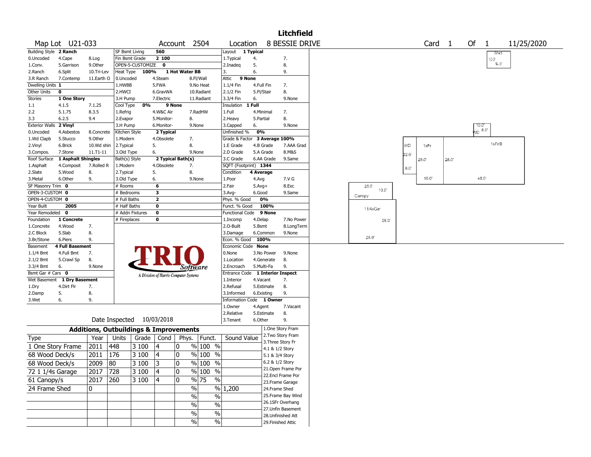|                         |                             |            |                                                   |                  |                         |                                       |                          |                                  |                  |                 | <b>Litchfield</b>                      |               |                |                   |      |                  |            |
|-------------------------|-----------------------------|------------|---------------------------------------------------|------------------|-------------------------|---------------------------------------|--------------------------|----------------------------------|------------------|-----------------|----------------------------------------|---------------|----------------|-------------------|------|------------------|------------|
|                         | Map Lot U21-033             |            |                                                   |                  |                         | Account                               | 2504                     | Location                         |                  |                 | 8 BESSIE DRIVE                         |               |                | Card <sub>1</sub> |      | Of $1$           | 11/25/2020 |
| Building Style 2 Ranch  |                             |            | SF Bsmt Living                                    |                  | 560                     |                                       |                          | Layout 1 Typical                 |                  |                 |                                        |               |                |                   |      | Shed             |            |
| 0.Uncoded               | 4.Cape                      | 8.Log      | Fin Bsmt Grade                                    |                  | 2 100                   |                                       |                          | 1.Typical                        | 4.               |                 | 7.                                     |               |                |                   |      | 10.0"            |            |
| 1.Conv.                 | 5.Garrison                  | 9.Other    |                                                   | OPEN-5-CUSTOMIZE | $\mathbf 0$             |                                       |                          | 2.Inadeg                         | 5.               |                 | 8.                                     |               |                |                   |      | $14.0^{\circ}$   |            |
| 2.Ranch                 | 6.Split                     | 10.Tri-Lev | Heat Type                                         | 100%             |                         | 1 Hot Water BB                        |                          | 3.                               | 6.               |                 | 9.                                     |               |                |                   |      |                  |            |
| 3.R Ranch               | 7.Contemp                   | 11.Earth O | 0.Uncoded                                         |                  | 4.Steam                 |                                       | 8.Fl/Wall                | Attic                            | 9 None           |                 |                                        |               |                |                   |      |                  |            |
| Dwelling Units 1        |                             |            | 1.HWBB                                            |                  | 5.FWA                   |                                       | 9.No Heat                | 1.1/4 Fin                        | 4.Full Fin       |                 | 7.                                     |               |                |                   |      |                  |            |
| Other Units<br>Stories  | $\mathbf 0$<br>1 One Story  |            | 2.HWCI<br>3.H Pump                                |                  | 6.GravWA<br>7.Electric  |                                       | 10.Radiant<br>11.Radiant | 2.1/2 Fin<br>3.3/4 Fin           | 5.Fl/Stair<br>6. |                 | 8.<br>9.None                           |               |                |                   |      |                  |            |
| 1.1                     | 4.1.5                       | 7.1.25     | Cool Type                                         | 0%               | 9 None                  |                                       |                          | Insulation                       | 1 Full           |                 |                                        |               |                |                   |      |                  |            |
| 2.2                     | 5.1.75                      | 8.3.5      | 1.Refrig                                          |                  | 4.W&C Air               |                                       | 7.RadHW                  | 1.Full                           | 4.Minimal        |                 | 7.                                     |               |                |                   |      |                  |            |
| 3.3                     | 6.2.5                       | 9.4        | 2.Evapor                                          |                  | 5.Monitor-              | 8.                                    |                          | 2.Heavy                          | 5.Partial        |                 | 8.                                     |               |                |                   |      |                  |            |
| Exterior Walls 2 Vinyl  |                             |            | 3.H Pump                                          |                  | 6.Monitor-              |                                       | 9.None                   | 3.Capped                         | 6.               |                 | 9.None                                 |               |                |                   |      |                  |            |
| 0.Uncoded               | 4.Asbestos                  | 8.Concrete | Kitchen Style                                     |                  | 2 Typical               |                                       |                          | Unfinished %                     | 0%               |                 |                                        |               |                |                   |      | 10.0"<br>VD 8.0" |            |
| 1.Wd Clapb              | 5.Stucco                    | 9.0ther    | 1.Modern                                          |                  | 4.Obsolete              | 7.                                    |                          | Grade & Factor 3 Average 100%    |                  |                 |                                        |               |                |                   |      |                  |            |
| 2.Vinyl                 | 6.Brick                     | 10.Wd shin | 2. Typical                                        |                  | 5.                      | 8.                                    |                          | 1.E Grade                        | 4.B Grade        |                 | 7.AAA Grad                             |               | WD             | 1sFr              |      | 1sFr/B           |            |
| 3.Compos.               | 7.Stone                     | 11.T1-11   | 3.Old Type                                        |                  | 6.                      |                                       | 9.None                   | 2.D Grade                        | 5.A Grade        |                 | 8.M&S                                  |               | $22.0^{\circ}$ |                   |      |                  |            |
| Roof Surface            | 1 Asphalt Shingles          |            | Bath(s) Style                                     |                  |                         | 2 Typical Bath(s)                     |                          | 3.C Grade                        |                  | 6.AA Grade      | 9.Same                                 |               |                | 28.0'             | 28.0 |                  |            |
| 1.Asphalt               | 4.Composit                  | 7.Rolled R | 1.Modern                                          |                  | 4.Obsolete              | 7.                                    |                          | SQFT (Footprint) 1344            |                  |                 |                                        |               | $8.0^\circ$    |                   |      |                  |            |
| 2.Slate                 | 5.Wood                      | 8.         | 2. Typical                                        |                  | 5.                      | 8.                                    |                          | Condition                        | 4 Average        |                 |                                        |               |                |                   |      |                  |            |
| 3. Metal                | 6.Other                     | 9.         | 3.Old Type                                        |                  | 6.                      |                                       | 9.None                   | 1.Poor                           | 4.Avg            |                 | 7.V G                                  |               |                | 16.0              |      | 48.0             |            |
| SF Masonry Trim 0       |                             |            | # Rooms                                           |                  | 6                       |                                       |                          | 2.Fair                           | $5.Avg+$         |                 | 8.Exc                                  | 26.0<br>10.0" |                |                   |      |                  |            |
| OPEN-3-CUSTOM 0         |                             |            | # Bedrooms                                        |                  | 3                       |                                       |                          | 3.Avg-                           | 6.Good           |                 | 9.Same                                 | Canopy        |                |                   |      |                  |            |
| OPEN-4-CUSTOM 0         |                             |            | # Full Baths                                      |                  | $\overline{\mathbf{2}}$ |                                       |                          | Phys. % Good                     |                  | 0%              |                                        |               |                |                   |      |                  |            |
| Year Built              | 2005                        |            | # Half Baths                                      |                  | 0                       |                                       |                          | Funct. % Good                    |                  | 100%            |                                        | 11/4sGar      |                |                   |      |                  |            |
| Year Remodeled 0        |                             |            | # Addn Fixtures                                   |                  | 0                       |                                       |                          | <b>Functional Code</b>           |                  | 9 None          |                                        |               |                |                   |      |                  |            |
| Foundation              | 1 Concrete                  |            | # Fireplaces                                      |                  | 0                       |                                       |                          | 1.Incomp                         | 4.Delap          |                 | 7.No Power                             | 26.0'         |                |                   |      |                  |            |
| 1.Concrete              | 4.Wood                      | 7.         |                                                   |                  |                         |                                       |                          | 2.O-Built                        | 5.Bsmt           | 6.Common        | 8.LongTerm                             |               |                |                   |      |                  |            |
| 2.C Block<br>3.Br/Stone | 5.Slab<br>6.Piers           | 8.<br>9.   |                                                   |                  |                         |                                       |                          | 3.Damage<br>Econ. % Good         | 100%             |                 | 9.None                                 | 28.0          |                |                   |      |                  |            |
| Basement                | <b>4 Full Basement</b>      |            |                                                   |                  |                         |                                       |                          | Economic Code None               |                  |                 |                                        |               |                |                   |      |                  |            |
| $1.1/4$ Bmt             | 4.Full Bmt                  | 7.         |                                                   |                  |                         |                                       |                          | 0.None                           |                  | 3.No Power      | 9.None                                 |               |                |                   |      |                  |            |
| 2.1/2 Bmt               | 5.Crawl Sp                  | 8.         |                                                   |                  |                         |                                       |                          | 1.Location                       |                  | 4.Generate      | 8.                                     |               |                |                   |      |                  |            |
| 3.3/4 Bmt               | 6.                          | 9.None     |                                                   |                  |                         | Software                              |                          | 2.Encroach                       | 5.Multi-Fa       |                 | 9.                                     |               |                |                   |      |                  |            |
| Bsmt Gar # Cars 0       |                             |            |                                                   |                  |                         | A Division of Harris Computer Systems |                          | Entrance Code 1 Interior Inspect |                  |                 |                                        |               |                |                   |      |                  |            |
|                         | Wet Basement 1 Dry Basement |            |                                                   |                  |                         |                                       |                          | 1.Interior                       | 4.Vacant         |                 | 7.                                     |               |                |                   |      |                  |            |
| 1.Dry                   | 4.Dirt Flr                  | 7.         |                                                   |                  |                         |                                       |                          | 2.Refusal                        |                  | 5.Estimate      | 8.                                     |               |                |                   |      |                  |            |
| 2.Damp                  | 5.                          | 8.         |                                                   |                  |                         |                                       |                          | 3.Informed                       | 6.Existing       |                 | 9.                                     |               |                |                   |      |                  |            |
| 3.Wet                   | 6.                          | 9.         |                                                   |                  |                         |                                       |                          | Information Code 1 Owner         |                  |                 |                                        |               |                |                   |      |                  |            |
|                         |                             |            |                                                   |                  |                         |                                       |                          | 1.Owner                          | 4.Agent          |                 | 7.Vacant                               |               |                |                   |      |                  |            |
|                         |                             |            |                                                   |                  |                         |                                       |                          | 2.Relative                       |                  | 5.Estimate      | 8.                                     |               |                |                   |      |                  |            |
|                         |                             |            | Date Inspected                                    |                  | 10/03/2018              |                                       |                          | 3.Tenant                         | 6.Other          |                 | 9.                                     |               |                |                   |      |                  |            |
|                         |                             |            | <b>Additions, Outbuildings &amp; Improvements</b> |                  |                         |                                       |                          |                                  |                  |                 | 1.One Story Fram                       |               |                |                   |      |                  |            |
| Type                    |                             | Year       | Units                                             | Grade            | Cond                    | Phys.                                 | Funct.                   | Sound Value                      |                  |                 | 2. Two Story Fram                      |               |                |                   |      |                  |            |
| 1 One Story Frame       |                             | 2011       | 448                                               | 3 100            | 4                       | 10                                    | $%100$ %                 |                                  |                  |                 | 3. Three Story Fr                      |               |                |                   |      |                  |            |
| 68 Wood Deck/s          |                             |            |                                                   |                  |                         |                                       | $%100$ %                 |                                  |                  | 4.1 & 1/2 Story |                                        |               |                |                   |      |                  |            |
|                         |                             | 2011       | 176                                               | 3 100            | 4                       | 10                                    |                          |                                  |                  | 5.1 & 3/4 Story |                                        |               |                |                   |      |                  |            |
| 68 Wood Deck/s          |                             | 2009       | 80                                                | 3 100            | 3                       | 0                                     | % 100 %                  |                                  |                  | 6.2 & 1/2 Story |                                        |               |                |                   |      |                  |            |
| 72 1 1/4s Garage        |                             | 2017       | 728                                               | 3 100            | 4                       | 10                                    | $\%$ 100 $\overline{\%}$ |                                  |                  |                 | 21.Open Frame Por<br>22.Encl Frame Por |               |                |                   |      |                  |            |
| 61 Canopy/s             |                             | 2017       | 260                                               | 3 100            | 4                       | 10                                    | $\frac{9}{6}$ 75<br>$\%$ |                                  |                  |                 | 23. Frame Garage                       |               |                |                   |      |                  |            |
| 24 Frame Shed           |                             | 0          |                                                   |                  |                         | $\%$                                  |                          | $\frac{9}{6}$ 1,200              |                  | 24.Frame Shed   |                                        |               |                |                   |      |                  |            |
|                         |                             |            |                                                   |                  |                         |                                       |                          |                                  |                  |                 | 25. Frame Bay Wind                     |               |                |                   |      |                  |            |
|                         |                             |            |                                                   |                  |                         | %                                     | $\%$                     |                                  |                  |                 | 26.1SFr Overhang                       |               |                |                   |      |                  |            |
|                         |                             |            |                                                   |                  |                         | $\%$                                  | %                        |                                  |                  |                 | 27.Unfin Basement                      |               |                |                   |      |                  |            |
|                         |                             |            |                                                   |                  |                         | $\%$                                  | $\%$                     |                                  |                  |                 | 28. Unfinished Att                     |               |                |                   |      |                  |            |
|                         |                             |            |                                                   |                  |                         | $\%$                                  | $\%$                     |                                  |                  |                 | 29. Finished Attic                     |               |                |                   |      |                  |            |
|                         |                             |            |                                                   |                  |                         |                                       |                          |                                  |                  |                 |                                        |               |                |                   |      |                  |            |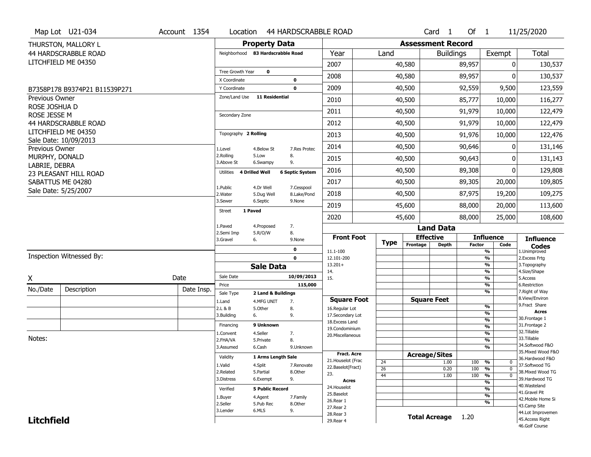|                   | Map Lot U21-034                             | Account 1354 |                                   |                                  | Location 44 HARDSCRABBLE ROAD |                                         |                       |                          | Card <sub>1</sub>    | Of $1$        |                                           | 11/25/2020                            |
|-------------------|---------------------------------------------|--------------|-----------------------------------|----------------------------------|-------------------------------|-----------------------------------------|-----------------------|--------------------------|----------------------|---------------|-------------------------------------------|---------------------------------------|
|                   | THURSTON, MALLORY L                         |              |                                   | <b>Property Data</b>             |                               |                                         |                       | <b>Assessment Record</b> |                      |               |                                           |                                       |
|                   | 44 HARDSCRABBLE ROAD                        |              | Neighborhood 83 Hardscrabble Road |                                  |                               | Year                                    | Land                  |                          | <b>Buildings</b>     |               | Exempt                                    | Total                                 |
|                   | LITCHFIELD ME 04350                         |              |                                   |                                  |                               | 2007                                    |                       | 40,580                   |                      | 89,957        | $\mathbf{0}$                              | 130,537                               |
|                   |                                             |              | Tree Growth Year                  | 0                                |                               | 2008                                    |                       | 40,580                   |                      | 89,957        |                                           | 130,537                               |
|                   | B7358P178 B9374P21 B11539P271               |              | X Coordinate<br>Y Coordinate      |                                  | 0<br>$\mathbf 0$              | 2009                                    |                       | 40,500                   |                      | 92,559        | 9,500                                     | 123,559                               |
| Previous Owner    |                                             |              | Zone/Land Use                     | <b>11 Residential</b>            |                               | 2010                                    |                       | 40,500                   |                      | 85,777        | 10,000                                    | 116,277                               |
| ROSE JOSHUA D     |                                             |              |                                   |                                  |                               | 2011                                    |                       | 40,500                   |                      | 91,979        | 10,000                                    | 122,479                               |
| ROSE JESSE M      |                                             |              | Secondary Zone                    |                                  |                               |                                         |                       |                          |                      |               |                                           |                                       |
|                   | 44 HARDSCRABBLE ROAD<br>LITCHFIELD ME 04350 |              |                                   |                                  |                               | 2012                                    |                       | 40,500                   |                      | 91,979        | 10,000                                    | 122,479                               |
|                   | Sale Date: 10/09/2013                       |              | Topography 2 Rolling              |                                  |                               | 2013                                    |                       | 40,500                   |                      | 91,976        | 10,000                                    | 122,476                               |
| Previous Owner    |                                             |              | 1.Level                           | 4.Below St                       | 7.Res Protec                  | 2014                                    |                       | 40,500                   |                      | 90,646        | 0                                         | 131,146                               |
| MURPHY, DONALD    |                                             |              | 2.Rolling<br>3.Above St           | 5.Low<br>6.Swampy                | 8.<br>9.                      | 2015                                    |                       | 40,500                   |                      | 90,643        | O                                         | 131,143                               |
| LABRIE, DEBRA     | 23 PLEASANT HILL ROAD                       |              | <b>Utilities</b>                  | 4 Drilled Well                   | <b>6 Septic System</b>        | 2016                                    |                       | 40,500                   |                      | 89,308        | O                                         | 129,808                               |
|                   | SABATTUS ME 04280                           |              |                                   |                                  |                               | 2017                                    |                       | 40,500                   |                      | 89,305        | 20,000                                    | 109,805                               |
|                   | Sale Date: 5/25/2007                        |              | 1.Public<br>2. Water              | 4.Dr Well<br>5.Dug Well          | 7.Cesspool<br>8.Lake/Pond     | 2018                                    |                       | 40,500                   |                      | 87,975        | 19,200                                    | 109,275                               |
|                   |                                             |              | 3.Sewer                           | 6.Septic                         | 9.None                        | 2019                                    |                       | 45,600                   |                      | 88,000        | 20,000                                    | 113,600                               |
|                   |                                             |              | Street                            | 1 Paved                          |                               | 2020                                    |                       | 45,600                   |                      | 88,000        | 25,000                                    | 108,600                               |
|                   |                                             |              | 1.Paved                           | 4.Proposed                       | 7.                            |                                         |                       |                          | <b>Land Data</b>     |               |                                           |                                       |
|                   |                                             |              | 2.Semi Imp<br>3.Gravel            | 5.R/O/W<br>6.                    | 8.<br>9.None                  | <b>Front Foot</b>                       |                       | <b>Effective</b>         |                      |               | <b>Influence</b>                          | <b>Influence</b>                      |
|                   |                                             |              |                                   |                                  | 0                             | 11.1-100                                | <b>Type</b>           | Frontage                 | <b>Depth</b>         | <b>Factor</b> | Code<br>%                                 | <b>Codes</b><br>1.Unimproved          |
|                   | Inspection Witnessed By:                    |              |                                   |                                  | $\mathbf 0$                   | 12.101-200                              |                       |                          |                      |               | $\frac{9}{6}$                             | 2. Excess Frtg                        |
|                   |                                             |              |                                   | <b>Sale Data</b>                 |                               | $13.201+$<br>14.                        |                       |                          |                      |               | $\frac{9}{6}$<br>%                        | 3. Topography<br>4.Size/Shape         |
| X                 |                                             | Date         | Sale Date                         |                                  | 10/09/2013                    | 15.                                     |                       |                          |                      |               | $\frac{9}{6}$                             | 5.Access                              |
| No./Date          | Description                                 | Date Insp.   | Price                             |                                  | 115,000                       |                                         |                       |                          |                      |               | %<br>%                                    | 6.Restriction<br>7. Right of Way      |
|                   |                                             |              | Sale Type<br>1.Land               | 2 Land & Buildings<br>4.MFG UNIT | 7.                            | <b>Square Foot</b>                      |                       | <b>Square Feet</b>       |                      |               |                                           | 8.View/Environ                        |
|                   |                                             |              | 2.L & B                           | 5.Other                          | 8.                            | 16.Regular Lot                          |                       |                          |                      |               | $\frac{9}{6}$                             | 9. Fract Share<br><b>Acres</b>        |
|                   |                                             |              | 3.Building                        | 6.                               | 9.                            | 17.Secondary Lot                        |                       |                          |                      |               | $\overline{\frac{9}{6}}$<br>$\frac{9}{6}$ | 30. Frontage 1                        |
|                   |                                             |              | Financing                         | 9 Unknown                        |                               | 18. Excess Land<br>19.Condominium       |                       |                          |                      |               | $\overline{\frac{9}{6}}$                  | 31. Frontage 2                        |
|                   |                                             |              | 1.Convent                         | 4.Seller                         | 7.                            | 20.Miscellaneous                        |                       |                          |                      |               | $\frac{9}{6}$                             | 32. Tillable                          |
| Notes:            |                                             |              | 2.FHA/VA                          | 5.Private                        | 8.                            |                                         |                       |                          |                      |               | $\overline{\frac{9}{6}}$                  | 33.Tillable                           |
|                   |                                             |              | 3.Assumed                         | 6.Cash                           | 9.Unknown                     |                                         |                       |                          |                      |               | $\frac{9}{6}$                             | 34.Softwood F&O<br>35. Mixed Wood F&O |
|                   |                                             |              | Validity                          | 1 Arms Length Sale               |                               | <b>Fract. Acre</b>                      |                       | <b>Acreage/Sites</b>     |                      |               |                                           | 36.Hardwood F&O                       |
|                   |                                             |              | 1.Valid                           | 4.Split                          | 7.Renovate                    | 21. Houselot (Frac<br>22.Baselot(Fract) | 24                    |                          | 1.00                 | 100           | %<br>$\bf{0}$                             | 37.Softwood TG                        |
|                   |                                             |              | 2.Related                         | 5.Partial                        | 8.Other                       | 23.                                     | $\overline{26}$<br>44 |                          | 0.20<br>1.00         | 100<br>100    | $\mathbf 0$<br>%<br>$\overline{0}$<br>%   | 38. Mixed Wood TG                     |
|                   |                                             |              | 3.Distress                        | 6.Exempt                         | 9.                            | <b>Acres</b>                            |                       |                          |                      |               | %                                         | 39.Hardwood TG                        |
|                   |                                             |              | Verified                          | <b>5 Public Record</b>           |                               | 24. Houselot                            |                       |                          |                      |               | %                                         | 40. Wasteland                         |
|                   |                                             |              | 1.Buyer                           | 4.Agent                          | 7.Family                      | 25.Baselot                              |                       |                          |                      |               | %                                         | 41.Gravel Pit                         |
|                   |                                             |              |                                   |                                  |                               |                                         |                       |                          |                      |               | %                                         | 42. Mobile Home Si                    |
|                   |                                             |              | 2.Seller                          | 5.Pub Rec                        | 8.Other                       | 26.Rear 1                               |                       |                          |                      |               |                                           |                                       |
|                   |                                             |              | 3.Lender                          | 6.MLS                            | 9.                            | 27. Rear 2                              |                       |                          |                      |               |                                           | 43.Camp Site                          |
| <b>Litchfield</b> |                                             |              |                                   |                                  |                               | 28. Rear 3<br>29. Rear 4                |                       |                          | <b>Total Acreage</b> | 1.20          |                                           | 44.Lot Improvemen<br>45.Access Right  |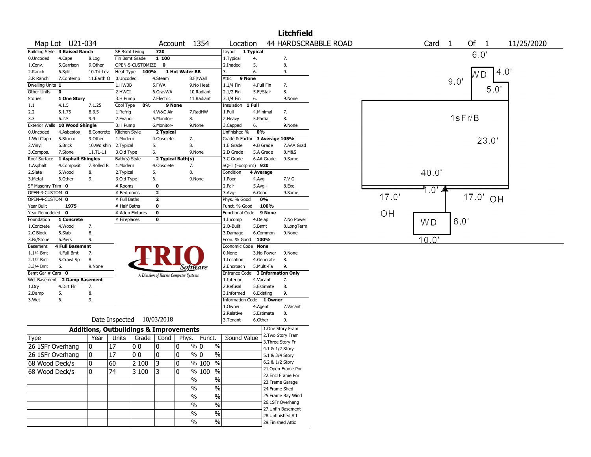|                        |                               |              |                                                   |                                       |                   |                     |                               |              |                          | <b>Litchfield</b>                       |                             |       |                   |      |                         |            |
|------------------------|-------------------------------|--------------|---------------------------------------------------|---------------------------------------|-------------------|---------------------|-------------------------------|--------------|--------------------------|-----------------------------------------|-----------------------------|-------|-------------------|------|-------------------------|------------|
|                        | Map Lot U21-034               |              |                                                   |                                       | Account 1354      |                     | Location                      |              |                          |                                         | <b>44 HARDSCRABBLE ROAD</b> |       | Card <sub>1</sub> |      | Of 1                    | 11/25/2020 |
|                        | Building Style 3 Raised Ranch |              | SF Bsmt Living                                    | 720                                   |                   |                     | Layout 1 Typical              |              |                          |                                         |                             |       |                   |      | 6.0                     |            |
| 0.Uncoded              | 4.Cape                        | 8.Log        | Fin Bsmt Grade                                    | 1 100                                 |                   |                     | 1. Typical                    | 4.           |                          | 7.                                      |                             |       |                   |      |                         |            |
| 1.Conv.                | 5.Garrison                    | 9.Other      | OPEN-5-CUSTOMIZE                                  | $\mathbf 0$                           |                   |                     | 2.Inadeq                      | 5.           |                          | 8.                                      |                             |       |                   |      |                         |            |
| 2.Ranch                | 6.Split                       | 10.Tri-Lev   | Heat Type                                         | 100%                                  | 1 Hot Water BB    |                     | 3.                            | 6.           |                          | 9.                                      |                             |       |                   |      | WD.                     | 4.0        |
| 3.R Ranch              | 7.Contemp                     | 11.Earth O   | 0.Uncoded                                         | 4.Steam                               |                   | 8.Fl/Wall           | Attic                         | 9 None       |                          |                                         |                             |       |                   | 9.0' |                         |            |
| Dwelling Units 1       |                               |              | 1.HWBB                                            | 5.FWA                                 |                   | 9.No Heat           | 1.1/4 Fin                     | 4.Full Fin   |                          | 7.                                      |                             |       |                   |      | 5.0'                    |            |
| Other Units            | 0                             |              | 2.HWCI                                            | 6.GravWA                              |                   | 10.Radiant          | 2.1/2 Fin                     | 5.Fl/Stair   |                          | 8.                                      |                             |       |                   |      |                         |            |
| Stories                | 1 One Story                   |              | 3.H Pump                                          | 7.Electric                            |                   | 11.Radiant          | 3.3/4 Fin                     | 6.           |                          | 9.None                                  |                             |       |                   |      |                         |            |
| $1.1\,$<br>2.2         | 4.1.5<br>5.1.75               | 7.1.25       | 0%<br>Cool Type<br>1.Refrig                       |                                       | 9 None            | 7.RadHW             | Insulation<br>1.Full          | 1 Full       | 4.Minimal                | 7.                                      |                             |       |                   |      |                         |            |
| 3.3                    | 6.2.5                         | 8.3.5<br>9.4 | 2.Evapor                                          | 4.W&C Air<br>5.Monitor-               | 8.                |                     | 2. Heavy                      | 5.Partial    |                          | 8.                                      |                             |       |                   |      | 1sFr/B                  |            |
| <b>Exterior Walls</b>  | 10 Wood Shingle               |              | 3.H Pump                                          | 6.Monitor-                            |                   | 9.None              | 3.Capped                      | 6.           |                          | 9.None                                  |                             |       |                   |      |                         |            |
| 0.Uncoded              | 4.Asbestos                    | 8.Concrete   | Kitchen Style                                     | 2 Typical                             |                   |                     | Unfinished %                  | 0%           |                          |                                         |                             |       |                   |      |                         |            |
| 1.Wd Clapb             | 5.Stucco                      | 9.Other      | 1.Modern                                          | 4.Obsolete                            | 7.                |                     | Grade & Factor 3 Average 105% |              |                          |                                         |                             |       |                   |      |                         |            |
| 2.Vinyl                | 6.Brick                       | 10.Wd shin   | 2. Typical                                        | 5.                                    | 8.                |                     | 1.E Grade                     |              | 4.B Grade                | 7.AAA Grad                              |                             |       |                   |      | 23.0'                   |            |
| 3.Compos.              | 7.Stone                       | $11.71 - 11$ | 3.Old Type                                        | 6.                                    |                   | 9.None              | 2.D Grade                     |              | 5.A Grade                | 8.M&S                                   |                             |       |                   |      |                         |            |
| Roof Surface           | 1 Asphalt Shingles            |              | Bath(s) Style                                     |                                       | 2 Typical Bath(s) |                     | 3.C Grade                     |              | 6.AA Grade               | 9.Same                                  |                             |       |                   |      |                         |            |
| 1.Asphalt              | 4.Composit                    | 7.Rolled R   | 1.Modern                                          | 4.Obsolete                            | 7.                |                     | SQFT (Footprint) 920          |              |                          |                                         |                             |       |                   |      |                         |            |
| 2.Slate                | 5.Wood                        | 8.           | 2. Typical                                        | 5.                                    | 8.                |                     | Condition                     | 4 Average    |                          |                                         |                             |       | 40.0'             |      |                         |            |
| 3.Metal                | 6.Other                       | 9.           | 3.Old Type                                        | 6.                                    |                   | 9.None              | 1.Poor                        | 4.Avg        |                          | 7.V G                                   |                             |       |                   |      |                         |            |
| SF Masonry Trim 0      |                               |              | # Rooms                                           | $\mathbf 0$                           |                   |                     | 2.Fair                        | $5.$ Avg $+$ |                          | 8.Exc                                   |                             |       |                   |      |                         |            |
| OPEN-3-CUSTOM 0        |                               |              | # Bedrooms                                        | 2                                     |                   |                     | 3.Avg-                        | 6.Good       |                          | 9.Same                                  |                             |       | $\overline{0}$    |      |                         |            |
| OPEN-4-CUSTOM 0        |                               |              | # Full Baths                                      | 2                                     |                   |                     | Phys. % Good                  |              | 0%                       |                                         |                             | 17.0' |                   |      | 17.0'<br>O <sub>H</sub> |            |
| Year Built             | 1975                          |              | # Half Baths                                      | 0                                     |                   |                     | Funct. % Good                 |              | 100%                     |                                         |                             |       |                   |      |                         |            |
| Year Remodeled 0       |                               |              | # Addn Fixtures                                   | 0                                     |                   |                     | <b>Functional Code</b>        |              | 9 None                   |                                         |                             | OH    |                   |      |                         |            |
| Foundation             | 1 Concrete                    |              | # Fireplaces                                      | 0                                     |                   |                     | 1.Incomp                      | 4.Delap      |                          | 7.No Power                              |                             |       | W <sub>D</sub>    | 6.0' |                         |            |
| 1.Concrete             | 4.Wood                        | 7.           |                                                   |                                       |                   |                     | 2.0-Built                     | 5.Bsmt       |                          | 8.LongTerm                              |                             |       |                   |      |                         |            |
| 2.C Block              | 5.Slab                        | 8.           |                                                   |                                       |                   |                     | 3.Damage                      |              | 6.Common                 | 9.None                                  |                             |       |                   |      |                         |            |
| 3.Br/Stone             | 6.Piers                       | 9.           |                                                   |                                       |                   |                     | Econ. % Good 100%             |              |                          |                                         |                             |       | 10.0"             |      |                         |            |
| Basement               | <b>4 Full Basement</b>        |              |                                                   |                                       |                   |                     | Economic Code None            |              |                          |                                         |                             |       |                   |      |                         |            |
| $1.1/4$ Bmt            | 4.Full Bmt                    | 7.           |                                                   |                                       |                   |                     | 0.None                        |              | 3.No Power               | 9.None<br>8.                            |                             |       |                   |      |                         |            |
| 2.1/2 Bmt<br>3.3/4 Bmt | 5.Crawl Sp<br>6.              | 8.<br>9.None |                                                   |                                       |                   |                     | 1.Location<br>2.Encroach      |              | 4.Generate<br>5.Multi-Fa | 9.                                      |                             |       |                   |      |                         |            |
| Bsmt Gar # Cars 0      |                               |              |                                                   |                                       | Software          |                     | Entrance Code                 |              |                          | <b>3 Information Only</b>               |                             |       |                   |      |                         |            |
| Wet Basement           | 2 Damp Basement               |              |                                                   | A Division of Harris Computer Systems |                   |                     | 1.Interior                    | 4.Vacant     |                          | 7.                                      |                             |       |                   |      |                         |            |
| 1.Dry                  | 4.Dirt Flr                    | 7.           |                                                   |                                       |                   |                     | 2.Refusal                     |              | 5.Estimate               | 8.                                      |                             |       |                   |      |                         |            |
| 2.Damp                 | 5.                            | 8.           |                                                   |                                       |                   |                     | 3.Informed                    |              | 6.Existing               | 9.                                      |                             |       |                   |      |                         |            |
| 3.Wet                  | 6.                            | 9.           |                                                   |                                       |                   |                     | Information Code 1 Owner      |              |                          |                                         |                             |       |                   |      |                         |            |
|                        |                               |              |                                                   |                                       |                   |                     | 1.Owner                       | 4.Agent      |                          | 7.Vacant                                |                             |       |                   |      |                         |            |
|                        |                               |              |                                                   |                                       |                   |                     | 2.Relative                    |              | 5.Estimate               | 8.                                      |                             |       |                   |      |                         |            |
|                        |                               |              | Date Inspected 10/03/2018                         |                                       |                   |                     | 3.Tenant                      | 6.Other      |                          | 9.                                      |                             |       |                   |      |                         |            |
|                        |                               |              | <b>Additions, Outbuildings &amp; Improvements</b> |                                       |                   |                     |                               |              |                          | 1.One Story Fram                        |                             |       |                   |      |                         |            |
| Type                   |                               | Year         | Units                                             | Grade   Cond   Phys.   Funct.         |                   |                     | Sound Value                   |              |                          | 2. Two Story Fram                       |                             |       |                   |      |                         |            |
| 26 1SFr Overhang       |                               | 0            | 17<br>00                                          | 10                                    | 0                 | % 0<br>%            |                               |              | 3. Three Story Fr        |                                         |                             |       |                   |      |                         |            |
| 26 1SFr Overhang       |                               | 0            | 17<br>00                                          | 10                                    | 10                | $\%$ 0<br>%         |                               |              | 4.1 & 1/2 Story          |                                         |                             |       |                   |      |                         |            |
|                        |                               |              |                                                   |                                       |                   |                     |                               |              | 5.1 & 3/4 Story          |                                         |                             |       |                   |      |                         |            |
| 68 Wood Deck/s         |                               | 10           | 60<br>2 100                                       | 3                                     | ۱o                | % 100<br>$\sqrt{6}$ |                               |              | 6.2 & 1/2 Story          |                                         |                             |       |                   |      |                         |            |
| 68 Wood Deck/s         |                               | 0            | 74<br>3 100                                       | 13                                    | 0                 | % 100 %             |                               |              |                          | 21. Open Frame Por<br>22.Encl Frame Por |                             |       |                   |      |                         |            |
|                        |                               |              |                                                   |                                       | $\sqrt{6}$        | %                   |                               |              |                          | 23. Frame Garage                        |                             |       |                   |      |                         |            |
|                        |                               |              |                                                   |                                       | $\%$              | $\frac{0}{6}$       |                               |              | 24.Frame Shed            |                                         |                             |       |                   |      |                         |            |
|                        |                               |              |                                                   |                                       | $\%$              | $\frac{9}{6}$       |                               |              |                          | 25. Frame Bay Wind                      |                             |       |                   |      |                         |            |
|                        |                               |              |                                                   |                                       |                   |                     |                               |              |                          | 26.1SFr Overhang                        |                             |       |                   |      |                         |            |
|                        |                               |              |                                                   |                                       | %                 | $\frac{9}{6}$       |                               |              |                          | 27.Unfin Basement                       |                             |       |                   |      |                         |            |
|                        |                               |              |                                                   |                                       | $\%$              | $\sqrt{6}$          |                               |              |                          | 28.Unfinished Att                       |                             |       |                   |      |                         |            |
|                        |                               |              |                                                   |                                       | %                 | %                   |                               |              | 29. Finished Attic       |                                         |                             |       |                   |      |                         |            |
|                        |                               |              |                                                   |                                       |                   |                     |                               |              |                          |                                         |                             |       |                   |      |                         |            |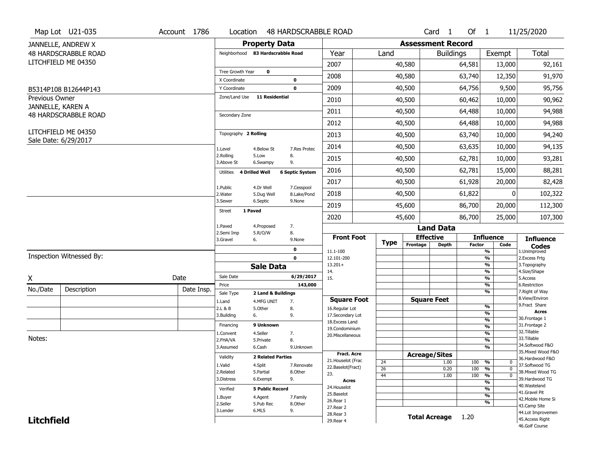|                   | Map Lot U21-035                             | Account 1786 | Location                     | <b>48 HARDSCRABBLE ROAD</b>       |                                         |                       |                          | Card <sub>1</sub>  | Of $1$        |                                                        | 11/25/2020                          |
|-------------------|---------------------------------------------|--------------|------------------------------|-----------------------------------|-----------------------------------------|-----------------------|--------------------------|--------------------|---------------|--------------------------------------------------------|-------------------------------------|
|                   | JANNELLE, ANDREW X                          |              |                              | <b>Property Data</b>              |                                         |                       | <b>Assessment Record</b> |                    |               |                                                        |                                     |
|                   | <b>48 HARDSCRABBLE ROAD</b>                 |              |                              | Neighborhood 83 Hardscrabble Road | Year                                    | Land                  |                          | <b>Buildings</b>   |               | Exempt                                                 | <b>Total</b>                        |
|                   | LITCHFIELD ME 04350                         |              |                              |                                   | 2007                                    |                       | 40,580                   |                    | 64,581        | 13,000                                                 | 92,161                              |
|                   |                                             |              | Tree Growth Year             | $\mathbf 0$                       | 2008                                    |                       | 40,580                   |                    | 63,740        | 12,350                                                 | 91,970                              |
|                   |                                             |              | X Coordinate<br>Y Coordinate | 0<br>$\mathbf 0$                  | 2009                                    |                       | 40,500                   |                    | 64,756        | 9,500                                                  | 95,756                              |
| Previous Owner    | B5314P108 B12644P143                        |              | Zone/Land Use                | <b>11 Residential</b>             |                                         |                       |                          |                    |               |                                                        |                                     |
|                   | JANNELLE, KAREN A                           |              |                              |                                   | 2010                                    |                       | 40,500                   |                    | 60,462        | 10,000                                                 | 90,962                              |
|                   | <b>48 HARDSCRABBLE ROAD</b>                 |              | Secondary Zone               |                                   | 2011                                    |                       | 40,500                   |                    | 64,488        | 10,000                                                 | 94,988                              |
|                   |                                             |              |                              |                                   | 2012                                    |                       | 40,500                   |                    | 64,488        | 10,000                                                 | 94,988                              |
|                   | LITCHFIELD ME 04350<br>Sale Date: 6/29/2017 |              | Topography 2 Rolling         |                                   | 2013                                    |                       | 40,500                   |                    | 63,740        | 10,000                                                 | 94,240                              |
|                   |                                             |              | 1.Level                      | 4.Below St<br>7.Res Protec        | 2014                                    |                       | 40,500                   |                    | 63,635        | 10,000                                                 | 94,135                              |
|                   |                                             |              | 2.Rolling<br>3.Above St      | 5.Low<br>8.<br>9.<br>6.Swampy     | 2015                                    |                       | 40,500                   |                    | 62,781        | 10,000                                                 | 93,281                              |
|                   |                                             |              | 4 Drilled Well<br>Utilities  | <b>6 Septic System</b>            | 2016                                    |                       | 40,500                   |                    | 62,781        | 15,000                                                 | 88,281                              |
|                   |                                             |              | 1.Public                     | 4.Dr Well<br>7.Cesspool           | 2017                                    |                       | 40,500                   |                    | 61,928        | 20,000                                                 | 82,428                              |
|                   |                                             |              | 2. Water                     | 8.Lake/Pond<br>5.Dug Well         | 2018                                    |                       | 40,500                   |                    | 61,822        | 0                                                      | 102,322                             |
|                   |                                             |              | 3.Sewer                      | 6.Septic<br>9.None                | 2019                                    |                       | 45,600                   |                    | 86,700        | 20,000                                                 | 112,300                             |
|                   |                                             |              | Street<br>1 Paved            |                                   | 2020                                    |                       | 45,600                   |                    | 86,700        | 25,000                                                 | 107,300                             |
|                   |                                             |              | 1.Paved<br>2.Semi Imp        | 7.<br>4.Proposed<br>5.R/O/W<br>8. |                                         |                       |                          | <b>Land Data</b>   |               |                                                        |                                     |
|                   |                                             |              | 6.<br>3.Gravel               | 9.None                            | <b>Front Foot</b>                       | <b>Type</b>           | <b>Effective</b>         |                    |               | <b>Influence</b>                                       | <b>Influence</b>                    |
|                   |                                             |              |                              | $\mathbf 0$                       | 11.1-100                                |                       | Frontage                 | <b>Depth</b>       | <b>Factor</b> | Code<br>$\frac{9}{6}$                                  | Codes<br>1.Unimproved               |
|                   | Inspection Witnessed By:                    |              |                              | $\mathbf 0$                       | 12.101-200                              |                       |                          |                    |               | $\frac{9}{6}$<br>$\frac{9}{6}$                         | 2. Excess Frtg                      |
|                   |                                             |              |                              | <b>Sale Data</b>                  | $13.201+$<br>14.                        |                       |                          |                    |               | $\frac{9}{6}$                                          | 3. Topography<br>4.Size/Shape       |
| X                 |                                             | Date         | Sale Date                    | 6/29/2017                         | 15.                                     |                       |                          |                    |               | $\frac{9}{6}$                                          | 5.Access                            |
| No./Date          | Description                                 | Date Insp.   | Price                        | 143,000<br>2 Land & Buildings     |                                         |                       |                          |                    |               | $\frac{9}{6}$<br>$\frac{9}{6}$                         | 6.Restriction<br>7. Right of Way    |
|                   |                                             |              | Sale Type<br>1.Land          | 4.MFG UNIT<br>7.                  | <b>Square Foot</b>                      |                       |                          | <b>Square Feet</b> |               |                                                        | 8.View/Environ                      |
|                   |                                             |              | 2.L & B                      | 8.<br>5.0ther                     | 16.Regular Lot                          |                       |                          |                    |               | %                                                      | 9.Fract Share<br><b>Acres</b>       |
|                   |                                             |              | 3.Building<br>6.             | 9.                                | 17.Secondary Lot                        |                       |                          |                    |               | %<br>$\frac{9}{6}$                                     | 30. Frontage 1                      |
|                   |                                             |              | Financing                    | 9 Unknown                         | 18. Excess Land<br>19.Condominium       |                       |                          |                    |               | $\frac{9}{6}$                                          | 31. Frontage 2                      |
|                   |                                             |              | 1.Convent                    | 4.Seller<br>7.                    | 20.Miscellaneous                        |                       |                          |                    |               | %                                                      | 32. Tillable                        |
| Notes:            |                                             |              | 2.FHA/VA                     | 8.<br>5.Private                   |                                         |                       |                          |                    |               | %                                                      | 33.Tillable<br>34.Softwood F&O      |
|                   |                                             |              | 3.Assumed                    | 6.Cash<br>9.Unknown               |                                         |                       |                          |                    |               | %                                                      | 35. Mixed Wood F&O                  |
|                   |                                             |              | Validity                     | <b>2 Related Parties</b>          | <b>Fract. Acre</b>                      |                       | <b>Acreage/Sites</b>     |                    |               |                                                        | 36.Hardwood F&O                     |
|                   |                                             |              | 1.Valid                      | 4.Split<br>7.Renovate             | 21. Houselot (Frac<br>22.Baselot(Fract) | 24                    |                          | 1.00               | 100           | %<br>$^{\rm o}$                                        | 37.Softwood TG                      |
|                   |                                             |              | 2.Related                    | 5.Partial<br>8.Other              | 23.                                     | $\overline{26}$<br>44 |                          | 0.20<br>1.00       | 100<br>100    | $\frac{9}{6}$<br>$\Omega$<br>$\frac{9}{6}$<br>$\Omega$ | 38. Mixed Wood TG                   |
|                   |                                             |              | 3.Distress                   | 6.Exempt<br>9.                    | <b>Acres</b>                            |                       |                          |                    |               | $\overline{\frac{9}{6}}$                               | 39.Hardwood TG                      |
|                   |                                             |              | Verified                     | <b>5 Public Record</b>            | 24. Houselot                            |                       |                          |                    |               | $\overline{\frac{9}{6}}$                               | 40. Wasteland                       |
|                   |                                             |              | 1.Buyer                      | 4.Agent<br>7.Family               | 25.Baselot                              |                       |                          |                    |               | $\frac{9}{6}$                                          | 41.Gravel Pit<br>42. Mobile Home Si |
|                   |                                             |              | 2.Seller                     | 5.Pub Rec<br>8.0ther              | 26.Rear 1                               |                       |                          |                    |               | $\overline{\frac{9}{6}}$                               | 43.Camp Site                        |
|                   |                                             |              | 3.Lender                     | 6.MLS<br>9.                       | 27. Rear 2<br>28.Rear 3                 |                       |                          |                    |               |                                                        | 44.Lot Improvemen                   |
|                   |                                             |              |                              |                                   |                                         |                       |                          |                    |               |                                                        |                                     |
| <b>Litchfield</b> |                                             |              |                              |                                   | 29. Rear 4                              |                       |                          | Total Acreage 1.20 |               |                                                        | 45. Access Right                    |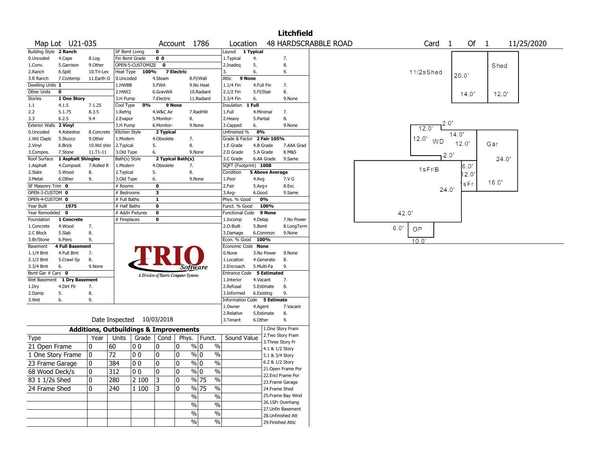|                       |                    |              |                       |                                                   |                |                                       |                                |                             |                        |                 | <b>Litchfield</b>                     |                             |       |                   |       |               |       |            |  |
|-----------------------|--------------------|--------------|-----------------------|---------------------------------------------------|----------------|---------------------------------------|--------------------------------|-----------------------------|------------------------|-----------------|---------------------------------------|-----------------------------|-------|-------------------|-------|---------------|-------|------------|--|
|                       | Map Lot U21-035    |              |                       |                                                   |                | Account 1786                          |                                | Location                    |                        |                 |                                       | <b>48 HARDSCRABBLE ROAD</b> |       | Card <sub>1</sub> |       | Of 1          |       | 11/25/2020 |  |
| <b>Building Style</b> | 2 Ranch            |              | <b>SF Bsmt Living</b> |                                                   | $\mathbf 0$    |                                       |                                | Layout                      | 1 Typical              |                 |                                       |                             |       |                   |       |               |       |            |  |
| 0.Uncoded             | 4.Cape             | 8.Log        |                       | Fin Bsmt Grade                                    | 0 <sub>0</sub> |                                       |                                | 1.Typical                   | 4.                     |                 | 7.                                    |                             |       |                   |       |               |       |            |  |
| 1.Conv.               | 5.Garrison         | 9.0ther      |                       | OPEN-5-CUSTOMIZE                                  | 0              |                                       |                                | 2.Inadeq                    | 5.                     |                 | 8.                                    |                             |       |                   |       |               | Shed  |            |  |
| 2.Ranch               | 6.Split            | 10.Tri-Lev   | Heat Type             | 100%                                              |                | <b>7 Electric</b>                     |                                | 3.                          | 6.                     |                 | 9.                                    |                             |       | 11/2sShed         | 20.0' |               |       |            |  |
| 3.R Ranch             | 7.Contemp          | 11.Earth O   | 0.Uncoded             |                                                   | 4.Steam        |                                       | 8.Fl/Wall                      | Attic                       | 9 None                 |                 |                                       |                             |       |                   |       |               |       |            |  |
| Dwelling Units 1      |                    |              | 1.HWBB                |                                                   | 5.FWA          |                                       | 9.No Heat                      | 1.1/4 Fin                   | 4.Full Fin             |                 | 7.                                    |                             |       |                   |       |               |       |            |  |
| Other Units           | 0                  |              | 2.HWCI                |                                                   | 6.GravWA       |                                       | 10.Radiant                     | 2.1/2 Fin                   | 5.Fl/Stair             |                 | 8.                                    |                             |       |                   |       | 14.0'         | 12.0' |            |  |
| <b>Stories</b>        | 1 One Story        |              | 3.H Pump              |                                                   | 7.Electric     |                                       | 11.Radiant                     | 3.3/4 Fin                   | 6.                     |                 | 9.None                                |                             |       |                   |       |               |       |            |  |
| 1.1                   | 4.1.5              | 7.1.25       | Cool Type             | 0%                                                |                | 9 None                                |                                | Insulation                  | 1 Full                 |                 |                                       |                             |       |                   |       |               |       |            |  |
| 2.2                   | 5.1.75             | 8.3.5        | 1.Refrig              |                                                   | 4.W&C Air      |                                       | 7.RadHW                        | 1.Full                      | 4.Minimal              |                 | 7.                                    |                             |       |                   |       |               |       |            |  |
| 3.3                   | 6.2.5              | 9.4          | 2.Evapor              |                                                   | 5.Monitor-     | 8.                                    |                                | 2.Heavy                     | 5.Partial              |                 | 8.                                    |                             |       |                   |       |               |       |            |  |
| <b>Exterior Walls</b> | 2 Vinyl            |              | 3.H Pump              |                                                   | 6.Monitor-     |                                       | 9.None                         | 3.Capped                    | 6.                     |                 | 9.None                                |                             |       | 2.0"<br>12.0      |       |               |       |            |  |
| 0.Uncoded             | 4.Asbestos         | 8.Concrete   | Kitchen Style         |                                                   | 2 Typical      |                                       |                                | Unfinished %                | 0%                     |                 |                                       |                             |       |                   | 14.0' |               |       |            |  |
| 1.Wd Clapb            | 5.Stucco           | 9.0ther      | 1.Modern              |                                                   | 4.Obsolete     | 7.                                    |                                | Grade & Factor 2 Fair 105%  |                        |                 |                                       |                             | 12.0' | WD                |       |               |       |            |  |
| 2.Vinyl               | 6.Brick            | 10.Wd shin   | 2.Typical             |                                                   | 5.             | 8.                                    |                                | 1.E Grade                   | 4.B Grade              |                 | 7.AAA Grad                            |                             |       |                   | 12.0' |               | Gar   |            |  |
| 3.Compos.             | 7.Stone            | $11.71 - 11$ | 3.Old Type            |                                                   | 6.             |                                       | 9.None                         | 2.D Grade                   | 5.A Grade              |                 | 8.M&S                                 |                             |       |                   |       |               |       |            |  |
| Roof Surface          | 1 Asphalt Shingles |              | Bath(s) Style         |                                                   |                | 2 Typical Bath(s)                     |                                | 3.C Grade                   | 6.AA Grade             |                 | 9.Same                                |                             |       | $2.0^{\circ}$     |       |               | 24.0' |            |  |
| 1.Asphalt             | 4.Composit         | 7.Rolled R   | 1.Modern              |                                                   | 4.Obsolete     | 7.                                    |                                | SQFT (Footprint) 1008       |                        |                 |                                       |                             |       |                   |       | 6.0'          |       |            |  |
| 2.Slate               | 5.Wood             | 8.           | 2.Typical             |                                                   | 5.             | 8.                                    |                                | Condition                   | <b>5 Above Average</b> |                 |                                       |                             |       | 1sFr/B            |       | $ 2.0\rangle$ |       |            |  |
| 3.Metal               | 6.Other            | 9.           | 3.Old Type            |                                                   | 6.             |                                       | 9.None                         | 1.Poor                      | 4.Avg                  |                 | 7.V G                                 |                             |       |                   |       |               |       |            |  |
| SF Masonry Trim 0     |                    |              | # Rooms               |                                                   | $\bf{0}$       |                                       |                                | 2.Fair                      | $5.Avg+$               |                 | 8.Exc                                 |                             |       |                   |       | sFr           | 16.0' |            |  |
| OPEN-3-CUSTOM 0       |                    |              | # Bedrooms            |                                                   | 3              |                                       |                                | 3.Avg-                      | 6.Good                 |                 | 9.Same                                |                             |       | 24.0'             |       |               |       |            |  |
| OPEN-4-CUSTOM 0       |                    |              | # Full Baths          |                                                   | $\mathbf{1}$   |                                       |                                | Phys. % Good                | 0%                     |                 |                                       |                             |       |                   |       |               |       |            |  |
| Year Built            | 1975               |              | # Half Baths          |                                                   | $\bf{0}$       |                                       |                                | Funct. % Good               | 100%                   |                 |                                       |                             |       |                   |       |               |       |            |  |
| Year Remodeled        | $\mathbf 0$        |              |                       | # Addn Fixtures                                   | $\mathbf 0$    |                                       |                                | Functional Code             | 9 None                 |                 |                                       |                             | 42.0  |                   |       |               |       |            |  |
| Foundation            | 1 Concrete         |              | # Fireplaces          |                                                   | 0              |                                       |                                | 1.Incomp                    | 4.Delap                |                 | 7.No Power                            |                             |       |                   |       |               |       |            |  |
| 1.Concrete            | 4.Wood             | 7.           |                       |                                                   |                |                                       |                                | 2.0-Built                   | 5.Bsmt                 |                 | 8.LongTerm                            |                             | 6.0'  |                   |       |               |       |            |  |
| 2.C Block             | 5.Slab             | 8.           |                       |                                                   |                |                                       |                                | 3.Damage                    | 6.Common               |                 | 9.None                                |                             | OP    |                   |       |               |       |            |  |
| 3.Br/Stone            | 6.Piers            | 9.           |                       |                                                   |                |                                       |                                | Econ. % Good                | 100%                   |                 |                                       |                             | 10.0  |                   |       |               |       |            |  |
| Basement              | 4 Full Basement    |              |                       |                                                   |                |                                       |                                | Economic Code None          |                        |                 |                                       |                             |       |                   |       |               |       |            |  |
| 1.1/4 Bmt             | 4.Full Bmt         | 7.           |                       |                                                   |                |                                       |                                | 0.None                      | 3.No Power             |                 | 9.None                                |                             |       |                   |       |               |       |            |  |
| 2.1/2 Bmt             | 5.Crawl Sp         | 8.           |                       |                                                   |                |                                       |                                | 1.Location                  | 4.Generate             |                 | 8.                                    |                             |       |                   |       |               |       |            |  |
| 3.3/4 Bmt             | 6.                 | 9.None       |                       |                                                   |                | Software                              |                                | 2.Encroach                  | 5.Multi-Fa             |                 | 9.                                    |                             |       |                   |       |               |       |            |  |
| Bsmt Gar # Cars 0     |                    |              |                       |                                                   |                |                                       |                                | Entrance Code 5 Estimated   |                        |                 |                                       |                             |       |                   |       |               |       |            |  |
| Wet Basement          | 1 Dry Basement     |              |                       |                                                   |                | A Division of Harris Computer Systems |                                | 1.Interior                  | 4.Vacant               |                 | 7.                                    |                             |       |                   |       |               |       |            |  |
| 1.Dry                 | 4.Dirt Flr         | 7.           |                       |                                                   |                |                                       |                                | 2.Refusal                   | 5.Estimate             |                 | 8.                                    |                             |       |                   |       |               |       |            |  |
| 2.Damp                | 5.                 | 8.           |                       |                                                   |                |                                       |                                | 3.Informed                  | 6.Existing             |                 | 9.                                    |                             |       |                   |       |               |       |            |  |
| 3.Wet                 | 6.                 | 9.           |                       |                                                   |                |                                       |                                | Information Code 5 Estimate |                        |                 |                                       |                             |       |                   |       |               |       |            |  |
|                       |                    |              |                       |                                                   |                |                                       |                                | 1.Owner                     | 4.Agent                |                 | 7.Vacant                              |                             |       |                   |       |               |       |            |  |
|                       |                    |              |                       |                                                   |                |                                       |                                | 2.Relative                  | 5.Estimate             |                 | 8.                                    |                             |       |                   |       |               |       |            |  |
|                       |                    |              | Date Inspected        |                                                   | 10/03/2018     |                                       |                                | 3. Tenant                   | 6.Other                |                 | 9.                                    |                             |       |                   |       |               |       |            |  |
|                       |                    |              |                       |                                                   |                |                                       |                                |                             |                        |                 |                                       |                             |       |                   |       |               |       |            |  |
|                       |                    |              |                       | <b>Additions, Outbuildings &amp; Improvements</b> |                |                                       |                                |                             |                        |                 | 1.One Story Fram<br>2. Two Story Fram |                             |       |                   |       |               |       |            |  |
| Type                  |                    | Year         | Units                 |                                                   | Grade   Cond   |                                       | Phys. Funct.                   | Sound Value                 |                        |                 | 3. Three Story Fr                     |                             |       |                   |       |               |       |            |  |
| 21 Open Frame         |                    | 10           | 60                    | 00                                                | 0              | 10                                    | $\%$ 0<br>$\%$                 |                             |                        | 4.1 & 1/2 Story |                                       |                             |       |                   |       |               |       |            |  |
| 1 One Story Frame     |                    | 10           | 72                    | 0 <sub>0</sub>                                    | 0              | 10                                    | $\%$ 0<br>$\%$                 |                             |                        | 5.1 & 3/4 Story |                                       |                             |       |                   |       |               |       |            |  |
|                       |                    | ١o           | 384                   | 00                                                | 0              | ١o                                    | $\%$<br>% 0                    |                             |                        | 6.2 & 1/2 Story |                                       |                             |       |                   |       |               |       |            |  |
| 23 Frame Garage       |                    |              |                       |                                                   |                |                                       |                                |                             |                        |                 | 21. Open Frame Por                    |                             |       |                   |       |               |       |            |  |
| 68 Wood Deck/s        |                    | 10           | 312                   | 0 <sub>0</sub>                                    | 0              | 10                                    | % 0<br>$\%$                    |                             |                        |                 | 22.Encl Frame Por                     |                             |       |                   |       |               |       |            |  |
| 83 1 1/2s Shed        |                    | 10           | 280                   | 2 100                                             | 3              | 10                                    | $\frac{9}{6}$ 75<br>$\sqrt{2}$ |                             |                        |                 | 23.Frame Garage                       |                             |       |                   |       |               |       |            |  |
| 24 Frame Shed         |                    | 10           | 240                   | 1 100                                             | 13             | 10                                    | $\frac{9}{6}$ 75<br>$\%$       |                             |                        |                 | 24.Frame Shed                         |                             |       |                   |       |               |       |            |  |
|                       |                    |              |                       |                                                   |                |                                       |                                |                             |                        |                 | 25. Frame Bay Wind                    |                             |       |                   |       |               |       |            |  |
|                       |                    |              |                       |                                                   |                | $\%$                                  | $\%$                           |                             |                        |                 | 26.1SFr Overhang                      |                             |       |                   |       |               |       |            |  |
|                       |                    |              |                       |                                                   |                | $\%$                                  | $\%$                           |                             |                        |                 | 27.Unfin Basement                     |                             |       |                   |       |               |       |            |  |
|                       |                    |              |                       |                                                   |                | $\%$                                  | $\%$                           |                             |                        |                 | 28.Unfinished Att                     |                             |       |                   |       |               |       |            |  |
|                       |                    |              |                       |                                                   |                | $\%$                                  | $\%$                           |                             |                        |                 | 29. Finished Attic                    |                             |       |                   |       |               |       |            |  |
|                       |                    |              |                       |                                                   |                |                                       |                                |                             |                        |                 |                                       |                             |       |                   |       |               |       |            |  |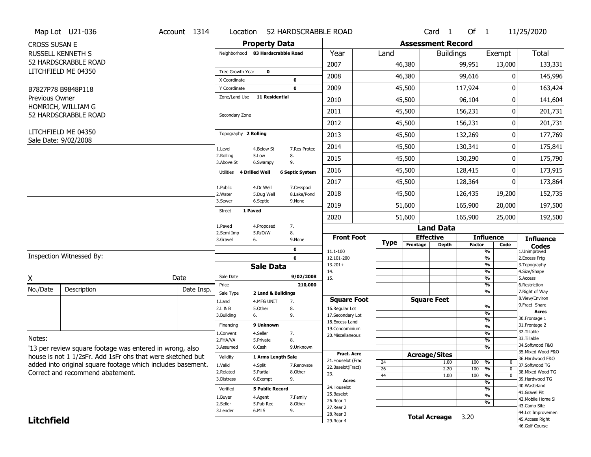|                      | Map Lot U21-036                                             | Account 1314 | Location                     |                                   | 52 HARDSCRABBLE ROAD      |                                   |                       |                          | Card <sub>1</sub> | Of $1$        |                                        | 11/25/2020                        |
|----------------------|-------------------------------------------------------------|--------------|------------------------------|-----------------------------------|---------------------------|-----------------------------------|-----------------------|--------------------------|-------------------|---------------|----------------------------------------|-----------------------------------|
| <b>CROSS SUSAN E</b> |                                                             |              |                              | <b>Property Data</b>              |                           |                                   |                       | <b>Assessment Record</b> |                   |               |                                        |                                   |
|                      | <b>RUSSELL KENNETH S</b>                                    |              |                              | Neighborhood 83 Hardscrabble Road |                           | Year                              | Land                  |                          | <b>Buildings</b>  |               | Exempt                                 | Total                             |
|                      | 52 HARDSCRABBLE ROAD                                        |              |                              |                                   |                           | 2007                              |                       | 46,380                   |                   | 99,951        | 13,000                                 | 133,331                           |
|                      | LITCHFIELD ME 04350                                         |              | Tree Growth Year             | $\mathbf 0$                       |                           | 2008                              |                       | 46,380                   |                   | 99,616        | $\Omega$                               | 145,996                           |
|                      | B7827P78 B9848P118                                          |              | X Coordinate<br>Y Coordinate |                                   | 0<br>0                    | 2009                              |                       | 45,500                   |                   | 117,924       | 0                                      | 163,424                           |
| Previous Owner       |                                                             |              | Zone/Land Use                | <b>11 Residential</b>             |                           | 2010                              |                       | 45,500                   |                   | 96,104        | 0                                      | 141,604                           |
|                      | HOMRICH, WILLIAM G                                          |              |                              |                                   |                           |                                   |                       |                          |                   |               |                                        |                                   |
|                      | 52 HARDSCRABBLE ROAD                                        |              | Secondary Zone               |                                   |                           | 2011                              |                       | 45,500                   |                   | 156,231       | 0                                      | 201,731                           |
|                      | LITCHFIELD ME 04350                                         |              |                              |                                   |                           | 2012                              |                       | 45,500                   |                   | 156,231       | 0                                      | 201,731                           |
|                      | Sale Date: 9/02/2008                                        |              | Topography 2 Rolling         |                                   |                           | 2013                              |                       | 45,500                   |                   | 132,269       | 0                                      | 177,769                           |
|                      |                                                             |              | 1.Level                      | 4.Below St                        | 7.Res Protec              | 2014                              |                       | 45,500                   |                   | 130,341       | 0                                      | 175,841                           |
|                      |                                                             |              | 2.Rolling<br>3.Above St      | 5.Low<br>6.Swampy                 | 8.<br>9.                  | 2015                              |                       | 45,500                   |                   | 130,290       | 0                                      | 175,790                           |
|                      |                                                             |              | Utilities 4 Drilled Well     |                                   | <b>6 Septic System</b>    | 2016                              |                       | 45,500                   |                   | 128,415       | 0                                      | 173,915                           |
|                      |                                                             |              | 1.Public                     | 4.Dr Well                         |                           | 2017                              |                       | 45,500                   |                   | 128,364       | O                                      | 173,864                           |
|                      |                                                             |              | 2. Water                     | 5.Dug Well                        | 7.Cesspool<br>8.Lake/Pond | 2018                              |                       | 45,500                   |                   | 126,435       | 19,200                                 | 152,735                           |
|                      |                                                             |              | 3.Sewer                      | 6.Septic                          | 9.None                    | 2019                              |                       | 51,600                   |                   | 165,900       | 20,000                                 | 197,500                           |
|                      |                                                             |              | <b>Street</b>                | 1 Paved                           |                           | 2020                              |                       | 51,600                   |                   | 165,900       | 25,000                                 | 192,500                           |
|                      |                                                             |              | 1.Paved                      | 4.Proposed                        | 7.                        |                                   |                       |                          | <b>Land Data</b>  |               |                                        |                                   |
|                      |                                                             |              | 2.Semi Imp<br>3.Gravel       | 5.R/O/W<br>6.                     | 8.<br>9.None              | <b>Front Foot</b>                 |                       | <b>Effective</b>         |                   |               | <b>Influence</b>                       | <b>Influence</b>                  |
|                      |                                                             |              |                              |                                   | 0                         | 11.1-100                          | Type                  | Frontage                 | <b>Depth</b>      | <b>Factor</b> | Code<br>$\overline{\frac{9}{6}}$       | <b>Codes</b><br>1.Unimproved      |
|                      | Inspection Witnessed By:                                    |              |                              |                                   | 0                         | 12.101-200                        |                       |                          |                   |               | $\frac{9}{6}$                          | 2. Excess Frtg                    |
|                      |                                                             |              |                              | <b>Sale Data</b>                  |                           | $13.201+$<br>14.                  |                       |                          |                   |               | $\frac{9}{6}$<br>%                     | 3. Topography<br>4.Size/Shape     |
| X                    |                                                             | Date         | Sale Date                    |                                   | 9/02/2008                 | 15.                               |                       |                          |                   |               | $\frac{9}{6}$                          | 5.Access                          |
| No./Date             | Description                                                 | Date Insp.   | Price                        |                                   | 210,000                   |                                   |                       |                          |                   |               | %<br>%                                 | 6.Restriction<br>7. Right of Way  |
|                      |                                                             |              | Sale Type<br>1.Land          | 2 Land & Buildings<br>4.MFG UNIT  | 7.                        | <b>Square Foot</b>                |                       | <b>Square Feet</b>       |                   |               |                                        | 8.View/Environ                    |
|                      |                                                             |              | 2.L & B                      | 5.Other                           | 8.                        | 16.Regular Lot                    |                       |                          |                   |               | %                                      | 9. Fract Share<br><b>Acres</b>    |
|                      |                                                             |              | 3.Building                   | 6.                                | 9.                        | 17.Secondary Lot                  |                       |                          |                   |               | %<br>%                                 | 30. Frontage 1                    |
|                      |                                                             |              | Financing                    | 9 Unknown                         |                           | 18. Excess Land<br>19.Condominium |                       |                          |                   |               | %                                      | 31. Frontage 2                    |
|                      |                                                             |              | 1.Convent                    | 4.Seller                          | 7.                        | 20.Miscellaneous                  |                       |                          |                   |               | %                                      | 32. Tillable                      |
| Notes:               |                                                             |              | 2.FHA/VA                     | 5.Private                         | 8.                        |                                   |                       |                          |                   |               | %                                      | 33.Tillable<br>34.Softwood F&O    |
|                      | '13 per review square footage was entered in wrong, also    |              | 3.Assumed                    | 6.Cash                            | 9.Unknown                 | <b>Fract. Acre</b>                |                       |                          |                   |               | %                                      | 35. Mixed Wood F&O                |
|                      | house is not 1 1/2sFr. Add 1sFr ohs that were sketched but  |              | Validity                     | 1 Arms Length Sale                |                           | 21. Houselot (Frac                |                       | <b>Acreage/Sites</b>     |                   |               |                                        | 36.Hardwood F&O                   |
|                      | added into original square footage which includes basement. |              | 1.Valid                      | 4.Split                           | 7.Renovate                | 22.Baselot(Fract)                 | 24<br>$\overline{26}$ |                          | 1.00<br>2.20      | 100<br>100    | %<br>0<br>$\frac{9}{6}$<br>$\mathbf 0$ | 37.Softwood TG                    |
|                      | Correct and recommend abatement.                            |              | 2.Related                    | 5.Partial                         | 8.Other                   | 23.                               | 44                    |                          | 1.00              | 100           | $\frac{9}{6}$<br>$\mathbf 0$           | 38. Mixed Wood TG                 |
|                      |                                                             |              | 3.Distress                   | 6.Exempt                          | 9.                        | <b>Acres</b>                      |                       |                          |                   |               | %                                      | 39.Hardwood TG                    |
|                      |                                                             |              | Verified                     | <b>5 Public Record</b>            |                           | 24. Houselot                      |                       |                          |                   |               | %                                      | 40.Wasteland<br>41.Gravel Pit     |
|                      |                                                             |              | 1.Buyer                      | 4.Agent                           | 7.Family                  | 25.Baselot                        |                       |                          |                   |               | %                                      | 42. Mobile Home Si                |
|                      |                                                             |              | 2.Seller                     | 5.Pub Rec                         | 8.Other                   | 26.Rear 1<br>27. Rear 2           |                       |                          |                   |               | %                                      | 43.Camp Site                      |
|                      |                                                             |              | 3.Lender                     | 6.MLS                             | 9.                        | 28. Rear 3                        |                       | <b>Total Acreage</b>     |                   |               |                                        | 44.Lot Improvemen                 |
|                      |                                                             |              |                              |                                   |                           |                                   |                       |                          |                   | 3.20          |                                        |                                   |
| <b>Litchfield</b>    |                                                             |              |                              |                                   |                           | 29. Rear 4                        |                       |                          |                   |               |                                        | 45.Access Right<br>46.Golf Course |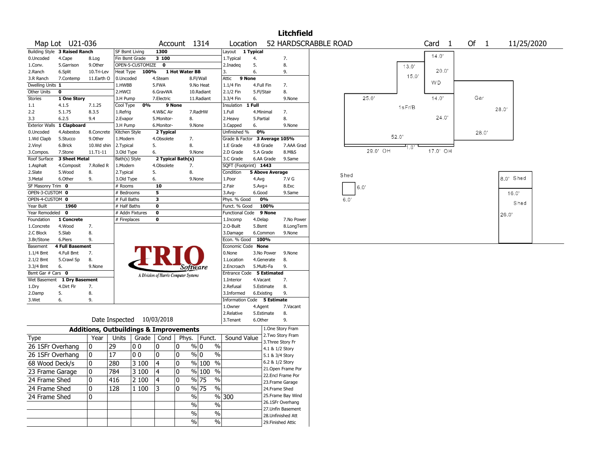|                                |                               |                                                   |                       |                           |                  |                                       |                          |                                    |            |                        | <b>Litchfield</b>                     |                      |      |          |       |        |                   |      |       |            |  |
|--------------------------------|-------------------------------|---------------------------------------------------|-----------------------|---------------------------|------------------|---------------------------------------|--------------------------|------------------------------------|------------|------------------------|---------------------------------------|----------------------|------|----------|-------|--------|-------------------|------|-------|------------|--|
|                                | Map Lot U21-036               |                                                   |                       |                           |                  | Account 1314                          |                          | Location                           |            |                        |                                       | 52 HARDSCRABBLE ROAD |      |          |       |        | Card <sub>1</sub> | Of 1 |       | 11/25/2020 |  |
|                                | Building Style 3 Raised Ranch |                                                   | SF Bsmt Living        |                           | 1300             |                                       |                          | Layout 1 Typical                   |            |                        |                                       |                      |      |          |       |        |                   |      |       |            |  |
| 0.Uncoded                      | 4.Cape                        | 8.Log                                             | Fin Bsmt Grade        |                           | 3 100            |                                       |                          | 1. Typical                         | 4.         |                        | 7.                                    |                      |      |          |       |        | 14.0'             |      |       |            |  |
| 1.Conv.                        | 5.Garrison                    | 9.0ther                                           |                       | OPEN-5-CUSTOMIZE          | $\mathbf 0$      |                                       |                          | 2.Inadeg                           | 5.         |                        | 8.                                    |                      |      |          |       | 13.0'  |                   |      |       |            |  |
| 2.Ranch                        | 6.Split                       | 10.Tri-Lev                                        | <b>Heat Type</b>      | 100%                      |                  | 1 Hot Water BB                        |                          | 3.                                 | 6.         |                        | 9.                                    |                      |      |          |       | 15.0'  | 20.0'             |      |       |            |  |
| 3.R Ranch                      | 7.Contemp                     | 11.Earth O                                        | 0.Uncoded             |                           | 4.Steam          |                                       | 8.Fl/Wall                | 9 None<br>Attic                    |            |                        |                                       |                      |      |          |       |        | WD.               |      |       |            |  |
| Dwelling Units 1               |                               |                                                   | 1.HWBB                |                           | 5.FWA            |                                       | 9.No Heat                | 1.1/4 Fin                          | 4.Full Fin |                        | 7.                                    |                      |      |          |       |        |                   |      |       |            |  |
| Other Units                    | $\mathbf 0$                   |                                                   | 2.HWCI                |                           | 6.GravWA         |                                       | 10.Radiant<br>11.Radiant | 2.1/2 Fin                          | 5.Fl/Stair |                        | 8.<br>9.None                          |                      |      | 25.0'    |       |        | 14.0'             | Gar  |       |            |  |
| <b>Stories</b><br>1.1          | 1 One Story<br>4.1.5          | 7.1.25                                            | 3.H Pump<br>Cool Type | 0%                        | 7.Electric       | 9 None                                |                          | 3.3/4 Fin<br>Insulation 1 Full     | 6.         |                        |                                       |                      |      |          |       |        |                   |      |       |            |  |
| 2.2                            | 5.1.75                        | 8.3.5                                             | 1.Refrig              |                           | 4.W&C Air        |                                       | 7.RadHW                  | 1.Full                             | 4.Minimal  |                        | 7.                                    |                      |      |          |       | 1sFr/B |                   |      |       | 28.0'      |  |
| 3.3                            | 6.2.5                         | 9.4                                               | 2.Evapor              |                           | 5.Monitor-       | 8.                                    |                          | 2.Heavy                            | 5.Partial  |                        | 8.                                    |                      |      |          |       |        | 24.0'             |      |       |            |  |
|                                | Exterior Walls 1 Clapboard    |                                                   | 3.H Pump              |                           | 6.Monitor-       |                                       | 9.None                   | 3.Capped                           | 6.         |                        | 9.None                                |                      |      |          |       |        |                   |      |       |            |  |
| 0.Uncoded                      | 4.Asbestos                    | 8.Concrete                                        | Kitchen Style         |                           | 2 Typical        |                                       |                          | Unfinished %                       | 0%         |                        |                                       |                      |      |          |       |        |                   |      | 28.0' |            |  |
| 1.Wd Clapb                     | 5.Stucco                      | 9.Other                                           | 1.Modern              |                           | 4.Obsolete       | 7.                                    |                          | Grade & Factor 3 Average 105%      |            |                        |                                       |                      |      |          | 52.0' |        |                   |      |       |            |  |
| 2.Vinyl                        | 6.Brick                       | 10.Wd shin                                        | 2. Typical            |                           | 5.               | 8.                                    |                          | 1.E Grade                          |            | 4.B Grade              | 7.AAA Grad                            |                      |      |          |       | $-1.0$ |                   |      |       |            |  |
| 3.Compos.                      | 7.Stone                       | 11.T1-11                                          | 3.Old Type            |                           | 6.               |                                       | 9.None                   | 2.D Grade                          |            | 5.A Grade              | 8.M&S                                 |                      |      | 29.0' OH |       |        | 17.0' OH          |      |       |            |  |
| Roof Surface                   | 3 Sheet Metal                 |                                                   | Bath(s) Style         |                           |                  | 2 Typical Bath(s)                     |                          | 3.C Grade                          |            | 6.AA Grade             | 9.Same                                |                      |      |          |       |        |                   |      |       |            |  |
| 1.Asphalt                      | 4.Composit                    | 7.Rolled R                                        | 1.Modern              |                           | 4.Obsolete       | 7.                                    |                          | SQFT (Footprint) 1443              |            |                        |                                       |                      |      |          |       |        |                   |      |       |            |  |
| 2.Slate                        | 5.Wood                        | 8.                                                | 2. Typical            |                           | 5.               | 8.                                    |                          | Condition                          |            | <b>5 Above Average</b> |                                       |                      | Shed |          |       |        |                   |      |       |            |  |
| 3. Metal                       | 6.Other                       | 9.                                                | 3.Old Type            |                           | 6.               |                                       | 9.None                   | 1.Poor                             | 4.Avg      |                        | 7.V G                                 |                      |      |          |       |        |                   |      |       | 8.0' Shed  |  |
| SF Masonry Trim 0              |                               |                                                   | # Rooms               |                           | 10               |                                       |                          | 2.Fair                             | $5.Avg+$   |                        | 8.Exc                                 |                      |      | 6.0'     |       |        |                   |      |       |            |  |
| OPEN-3-CUSTOM 0                |                               |                                                   | # Bedrooms            |                           | 5                |                                       |                          | 3.Avg-                             | 6.Good     |                        | 9.Same                                |                      |      |          |       |        |                   |      |       | 16.0'      |  |
| OPEN-4-CUSTOM 0                |                               |                                                   | # Full Baths          |                           | 3                |                                       |                          | Phys. % Good                       |            | 0%                     |                                       |                      | 6.0' |          |       |        |                   |      |       | Shed       |  |
| Year Built                     | 1960                          |                                                   | # Half Baths          |                           | $\mathbf 0$      |                                       |                          | Funct. % Good                      |            | 100%                   |                                       |                      |      |          |       |        |                   |      |       |            |  |
| Year Remodeled 0<br>Foundation | 1 Concrete                    |                                                   | # Fireplaces          | # Addn Fixtures           | $\mathbf 0$<br>0 |                                       |                          | <b>Functional Code</b><br>1.Incomp | 4.Delap    | 9 None                 | 7.No Power                            |                      |      |          |       |        |                   |      |       | 26.0'      |  |
| 1.Concrete                     | 4.Wood                        | 7.                                                |                       |                           |                  |                                       |                          | 2.O-Built                          | 5.Bsmt     |                        | 8.LongTerm                            |                      |      |          |       |        |                   |      |       |            |  |
| 2.C Block                      | 5.Slab                        | 8.                                                |                       |                           |                  |                                       |                          | 3.Damage                           |            | 6.Common               | 9.None                                |                      |      |          |       |        |                   |      |       |            |  |
| 3.Br/Stone                     | 6.Piers                       | 9.                                                |                       |                           |                  |                                       |                          | Econ. % Good                       | 100%       |                        |                                       |                      |      |          |       |        |                   |      |       |            |  |
| Basement                       | <b>4 Full Basement</b>        |                                                   |                       |                           |                  |                                       |                          | Economic Code None                 |            |                        |                                       |                      |      |          |       |        |                   |      |       |            |  |
| $1.1/4$ Bmt                    | 4.Full Bmt                    | 7.                                                |                       |                           |                  |                                       |                          | 0.None                             |            | 3.No Power             | 9.None                                |                      |      |          |       |        |                   |      |       |            |  |
| $2.1/2$ Bmt                    | 5.Crawl Sp                    | 8.                                                |                       |                           |                  |                                       |                          | 1.Location                         |            | 4.Generate             | 8.                                    |                      |      |          |       |        |                   |      |       |            |  |
| 3.3/4 Bmt                      | 6.                            | 9.None                                            |                       |                           |                  | Software                              |                          | 2.Encroach                         | 5.Multi-Fa |                        | 9.                                    |                      |      |          |       |        |                   |      |       |            |  |
| Bsmt Gar # Cars 0              |                               |                                                   |                       |                           |                  | A Division of Harris Computer Systems |                          | Entrance Code 5 Estimated          |            |                        |                                       |                      |      |          |       |        |                   |      |       |            |  |
| Wet Basement                   | 1 Dry Basement                |                                                   |                       |                           |                  |                                       |                          | 1.Interior                         | 4.Vacant   |                        | 7.                                    |                      |      |          |       |        |                   |      |       |            |  |
| 1.Dry                          | 4.Dirt Flr                    | 7.                                                |                       |                           |                  |                                       |                          | 2.Refusal                          |            | 5.Estimate             | 8.                                    |                      |      |          |       |        |                   |      |       |            |  |
| 2.Damp                         | 5.                            | 8.                                                |                       |                           |                  |                                       |                          | 3.Informed                         | 6.Existing |                        | 9.                                    |                      |      |          |       |        |                   |      |       |            |  |
| 3.Wet                          | 6.                            | 9.                                                |                       |                           |                  |                                       |                          | Information Code 5 Estimate        |            |                        |                                       |                      |      |          |       |        |                   |      |       |            |  |
|                                |                               |                                                   |                       |                           |                  |                                       |                          | 1.0wner                            | 4.Agent    |                        | 7.Vacant                              |                      |      |          |       |        |                   |      |       |            |  |
|                                |                               |                                                   |                       | Date Inspected 10/03/2018 |                  |                                       |                          | 2.Relative<br>3.Tenant             | 6.Other    | 5.Estimate             | 8.<br>9.                              |                      |      |          |       |        |                   |      |       |            |  |
|                                |                               |                                                   |                       |                           |                  |                                       |                          |                                    |            |                        | 1.One Story Fram                      |                      |      |          |       |        |                   |      |       |            |  |
|                                |                               | <b>Additions, Outbuildings &amp; Improvements</b> |                       |                           |                  |                                       |                          |                                    |            |                        | 2. Two Story Fram                     |                      |      |          |       |        |                   |      |       |            |  |
| Type                           |                               | Year                                              | Units                 | Grade   Cond              |                  |                                       | Phys.   Funct.           | Sound Value                        |            |                        | 3. Three Story Fr                     |                      |      |          |       |        |                   |      |       |            |  |
| 26 1SFr Overhang               |                               | 0                                                 | 29                    | 00                        | 10               | 0                                     | $\frac{9}{0}$ 0<br>$\%$  |                                    |            | 4.1 & 1/2 Story        |                                       |                      |      |          |       |        |                   |      |       |            |  |
| 26 1SFr Overhang               |                               | 0                                                 | 17                    | l 0 0                     | 10               | 0                                     | $\%$ 0<br>$\%$           |                                    |            | 5.1 & 3/4 Story        |                                       |                      |      |          |       |        |                   |      |       |            |  |
| 68 Wood Deck/s                 |                               | 0                                                 | 280                   | $ 3100\rangle$            | $\overline{4}$   | 0                                     | $\frac{9}{6}$ 100 %      |                                    |            | 6.2 & 1/2 Story        |                                       |                      |      |          |       |        |                   |      |       |            |  |
| 23 Frame Garage                |                               | 0                                                 | 784                   | 3 100                     | 4                | 0                                     | % 100 %                  |                                    |            |                        | 21.Open Frame Por                     |                      |      |          |       |        |                   |      |       |            |  |
| 24 Frame Shed                  |                               | 0                                                 | 416                   | 2 100                     | 4                | 0                                     | $\frac{9}{6}$ 75<br>%    |                                    |            |                        | 22.Encl Frame Por                     |                      |      |          |       |        |                   |      |       |            |  |
|                                |                               |                                                   |                       |                           |                  |                                       |                          |                                    |            |                        | 23. Frame Garage                      |                      |      |          |       |        |                   |      |       |            |  |
| 24 Frame Shed                  |                               | 0                                                 | 128                   | 1 100                     | 13               | 0                                     | $\frac{9}{6}$ 75<br>$\%$ |                                    |            | 24.Frame Shed          |                                       |                      |      |          |       |        |                   |      |       |            |  |
| 24 Frame Shed                  |                               | 0                                                 |                       |                           |                  | $\sqrt{6}$                            |                          | %300                               |            |                        | 25. Frame Bay Wind                    |                      |      |          |       |        |                   |      |       |            |  |
|                                |                               |                                                   |                       |                           |                  | $\frac{0}{0}$                         | $\overline{\frac{0}{0}}$ |                                    |            |                        | 26.1SFr Overhang<br>27.Unfin Basement |                      |      |          |       |        |                   |      |       |            |  |
|                                |                               |                                                   |                       |                           |                  | $\%$                                  | $\%$                     |                                    |            |                        | 28. Unfinished Att                    |                      |      |          |       |        |                   |      |       |            |  |
|                                |                               |                                                   |                       |                           |                  | $\frac{0}{0}$                         | %                        |                                    |            |                        | 29. Finished Attic                    |                      |      |          |       |        |                   |      |       |            |  |
|                                |                               |                                                   |                       |                           |                  |                                       |                          |                                    |            |                        |                                       |                      |      |          |       |        |                   |      |       |            |  |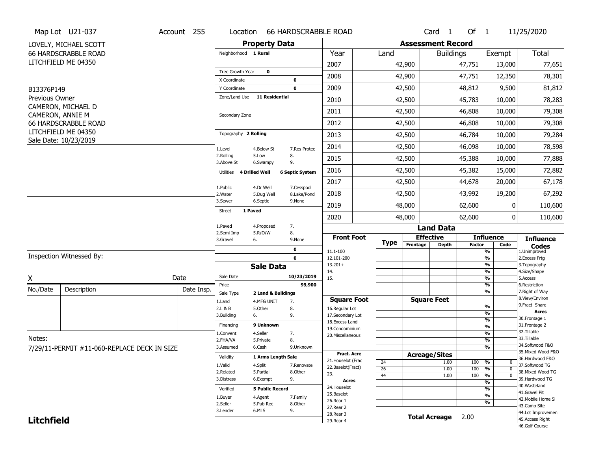|                   | Map Lot U21-037                                 | Account 255 | Location                     |                        | <b>66 HARDSCRABBLE ROAD</b> |                                    |                 |                              | Card <sub>1</sub>    | Of $1$        |                                | 11/25/2020                           |
|-------------------|-------------------------------------------------|-------------|------------------------------|------------------------|-----------------------------|------------------------------------|-----------------|------------------------------|----------------------|---------------|--------------------------------|--------------------------------------|
|                   | LOVELY, MICHAEL SCOTT                           |             |                              | <b>Property Data</b>   |                             |                                    |                 | <b>Assessment Record</b>     |                      |               |                                |                                      |
|                   | <b>66 HARDSCRABBLE ROAD</b>                     |             | Neighborhood 1 Rural         |                        |                             | Year                               | Land            |                              | <b>Buildings</b>     |               | Exempt                         | Total                                |
|                   | LITCHFIELD ME 04350                             |             |                              |                        |                             | 2007                               |                 | 42,900                       |                      | 47,751        | 13,000                         | 77,651                               |
|                   |                                                 |             | Tree Growth Year             | $\mathbf 0$            |                             | 2008                               |                 | 42,900                       |                      | 47,751        | 12,350                         | 78,301                               |
| B13376P149        |                                                 |             | X Coordinate<br>Y Coordinate |                        | $\bf{0}$<br>$\mathbf 0$     | 2009                               |                 | 42,500                       |                      | 48,812        | 9,500                          | 81,812                               |
| Previous Owner    |                                                 |             | Zone/Land Use                | <b>11 Residential</b>  |                             | 2010                               |                 | 42,500                       |                      | 45,783        | 10,000                         | 78,283                               |
|                   | CAMERON, MICHAEL D                              |             |                              |                        |                             | 2011                               |                 | 42,500                       |                      | 46,808        | 10,000                         | 79,308                               |
|                   | CAMERON, ANNIE M<br><b>66 HARDSCRABBLE ROAD</b> |             | Secondary Zone               |                        |                             | 2012                               |                 | 42,500                       |                      | 46,808        | 10,000                         | 79,308                               |
|                   | LITCHFIELD ME 04350                             |             | Topography 2 Rolling         |                        |                             |                                    |                 |                              |                      |               |                                |                                      |
|                   | Sale Date: 10/23/2019                           |             |                              |                        |                             | 2013                               |                 | 42,500                       |                      | 46,784        | 10,000                         | 79,284                               |
|                   |                                                 |             | 1.Level<br>2.Rolling         | 4.Below St<br>5.Low    | 7.Res Protec<br>8.          | 2014                               |                 | 42,500                       |                      | 46,098        | 10,000                         | 78,598                               |
|                   |                                                 |             | 3.Above St                   | 6.Swampy               | 9.                          | 2015                               |                 | 42,500                       |                      | 45,388        | 10,000                         | 77,888                               |
|                   |                                                 |             | Utilities 4 Drilled Well     |                        | <b>6 Septic System</b>      | 2016                               |                 | 42,500                       |                      | 45,382        | 15,000                         | 72,882                               |
|                   |                                                 |             | 1.Public                     | 4.Dr Well              | 7.Cesspool                  | 2017                               |                 | 42,500                       |                      | 44,678        | 20,000                         | 67,178                               |
|                   |                                                 |             | 2. Water<br>3.Sewer          | 5.Dug Well<br>6.Septic | 8.Lake/Pond<br>9.None       | 2018                               |                 | 42,500                       |                      | 43,992        | 19,200                         | 67,292                               |
|                   |                                                 |             | 1 Paved<br><b>Street</b>     |                        |                             | 2019                               |                 | 48,000                       |                      | 62,600        | 0                              | 110,600                              |
|                   |                                                 |             |                              |                        |                             | 2020                               |                 | 48,000                       |                      | 62,600        | $\mathbf{0}$                   | 110,600                              |
|                   |                                                 |             | 1.Paved<br>2.Semi Imp        | 4.Proposed<br>5.R/O/W  | 7.<br>8.                    |                                    |                 |                              | <b>Land Data</b>     |               |                                |                                      |
|                   |                                                 |             | 3.Gravel                     | 6.                     | 9.None                      | <b>Front Foot</b>                  | <b>Type</b>     | <b>Effective</b><br>Frontage | <b>Depth</b>         | <b>Factor</b> | <b>Influence</b><br>Code       | <b>Influence</b>                     |
|                   | Inspection Witnessed By:                        |             |                              |                        | 0                           | 11.1-100                           |                 |                              |                      |               | $\frac{9}{6}$                  | Codes<br>1.Unimproved                |
|                   |                                                 |             |                              | <b>Sale Data</b>       | $\mathbf 0$                 | 12.101-200<br>$13.201+$            |                 |                              |                      |               | $\frac{9}{6}$<br>$\frac{9}{6}$ | 2. Excess Frtg<br>3. Topography      |
|                   |                                                 |             | Sale Date                    |                        | 10/23/2019                  | 14.                                |                 |                              |                      |               | $\frac{9}{6}$                  | 4.Size/Shape                         |
| X                 |                                                 | Date        | Price                        |                        | 99,900                      | 15.                                |                 |                              |                      |               | $\frac{9}{6}$<br>%             | 5.Access<br>6.Restriction            |
| No./Date          | Description                                     | Date Insp.  | Sale Type                    | 2 Land & Buildings     |                             |                                    |                 |                              |                      |               | $\frac{9}{6}$                  | 7. Right of Way                      |
|                   |                                                 |             | 1.Land                       | 4.MFG UNIT             | 7.                          | <b>Square Foot</b>                 |                 |                              | <b>Square Feet</b>   |               |                                | 8.View/Environ<br>9.Fract Share      |
|                   |                                                 |             | 2.L & B<br>3.Building        | 5.Other<br>6.          | 8.<br>9.                    | 16.Regular Lot<br>17.Secondary Lot |                 |                              |                      |               | %<br>%                         | <b>Acres</b>                         |
|                   |                                                 |             |                              |                        |                             | 18. Excess Land                    |                 |                              |                      |               | %                              | 30.Frontage 1                        |
|                   |                                                 |             | Financing                    | 9 Unknown              |                             | 19.Condominium                     |                 |                              |                      |               | %                              | 31. Frontage 2                       |
| Notes:            |                                                 |             | 1.Convent                    | 4.Seller               | 7.                          | 20.Miscellaneous                   |                 |                              |                      |               | %                              | 32.Tillable<br>33.Tillable           |
|                   |                                                 |             | 2.FHA/VA<br>3.Assumed        | 5.Private<br>6.Cash    | 8.<br>9.Unknown             |                                    |                 |                              |                      |               | %<br>%                         | 34.Softwood F&O                      |
|                   | 7/29/11-PERMIT #11-060-REPLACE DECK IN SIZE     |             |                              |                        |                             | <b>Fract. Acre</b>                 |                 | <b>Acreage/Sites</b>         |                      |               |                                | 35. Mixed Wood F&O                   |
|                   |                                                 |             | Validity                     | 1 Arms Length Sale     |                             | 21. Houselot (Frac                 | 24              |                              | 1.00                 | 100           | %<br>0                         | 36.Hardwood F&O                      |
|                   |                                                 |             | 1.Valid                      | 4.Split                | 7.Renovate                  | 22.Baselot(Fract)                  | $\overline{26}$ |                              | 1.00                 | 100           | $\frac{9}{6}$<br>$\mathbf 0$   | 37.Softwood TG                       |
|                   |                                                 |             | 2.Related                    | 5.Partial              | 8.Other                     | 23.                                | 44              |                              | 1.00                 | 100           | $\frac{9}{6}$<br>$\mathbf 0$   | 38. Mixed Wood TG<br>39.Hardwood TG  |
|                   |                                                 |             | 3.Distress                   | 6.Exempt               | 9.                          | <b>Acres</b>                       |                 |                              |                      |               | $\frac{9}{6}$                  | 40.Wasteland                         |
|                   |                                                 |             | Verified                     | <b>5 Public Record</b> |                             | 24. Houselot                       |                 |                              |                      |               | $\frac{9}{6}$                  | 41.Gravel Pit                        |
|                   |                                                 |             | 1.Buyer                      | 4.Agent                | 7.Family                    | 25.Baselot<br>26.Rear 1            |                 |                              |                      |               | $\frac{9}{6}$                  | 42. Mobile Home Si                   |
|                   |                                                 |             | 2.Seller                     | 5.Pub Rec              | 8.Other                     | 27.Rear 2                          |                 |                              |                      |               | %                              | 43.Camp Site                         |
|                   |                                                 |             | 3.Lender                     |                        |                             |                                    |                 |                              |                      |               |                                |                                      |
| <b>Litchfield</b> |                                                 |             |                              | 6.MLS                  | 9.                          | 28. Rear 3                         |                 |                              | <b>Total Acreage</b> | 2.00          |                                | 44.Lot Improvemen<br>45.Access Right |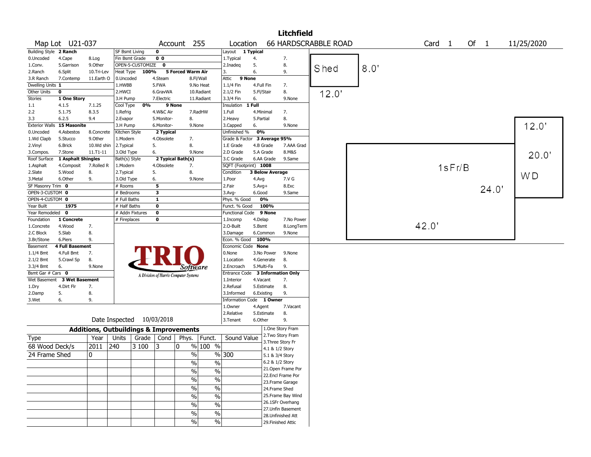|                       |                             |                                                   |                |                           |                |                                       |                          |                          |                        | <b>Litchfield</b>                        |                             |      |                   |        |        |                |
|-----------------------|-----------------------------|---------------------------------------------------|----------------|---------------------------|----------------|---------------------------------------|--------------------------|--------------------------|------------------------|------------------------------------------|-----------------------------|------|-------------------|--------|--------|----------------|
|                       | Map Lot U21-037             |                                                   |                |                           | Account        |                                       | 255                      | Location                 |                        |                                          | <b>66 HARDSCRABBLE ROAD</b> |      | Card <sub>1</sub> |        | Of $1$ | 11/25/2020     |
| <b>Building Style</b> | 2 Ranch                     |                                                   | SF Bsmt Living |                           | 0              |                                       |                          | Layout 1 Typical         |                        |                                          |                             |      |                   |        |        |                |
| 0.Uncoded             | 4.Cape                      | 8.Log                                             | Fin Bsmt Grade |                           | 0 <sub>0</sub> |                                       |                          | 1.Typical                | 4.                     | 7.                                       |                             |      |                   |        |        |                |
| 1.Conv.               | 5.Garrison                  | 9.Other                                           |                | OPEN-5-CUSTOMIZE          | $\mathbf 0$    |                                       |                          | 2.Inadeq                 | 5.                     | 8.                                       |                             | 8.0' |                   |        |        |                |
| 2.Ranch               | 6.Split                     | 10.Tri-Lev                                        | Heat Type      | <b>100%</b>               |                | 5 Forced Warm Air                     |                          | 3.                       | 6.                     | 9.                                       | Shed                        |      |                   |        |        |                |
| 3.R Ranch             | 7.Contemp                   | 11.Earth O                                        | 0.Uncoded      |                           | 4.Steam        |                                       | 8.Fl/Wall                | Attic                    | 9 None                 |                                          |                             |      |                   |        |        |                |
| Dwelling Units 1      |                             |                                                   | 1.HWBB         |                           | 5.FWA          |                                       | 9.No Heat                | 1.1/4 Fin                | 4.Full Fin             | 7.                                       |                             |      |                   |        |        |                |
| Other Units           | $\mathbf 0$                 |                                                   | 2.HWCI         |                           | 6.GravWA       |                                       | 10.Radiant               | 2.1/2 Fin                | 5.Fl/Stair             | 8.                                       | 12.0'                       |      |                   |        |        |                |
| <b>Stories</b>        | 1 One Story                 |                                                   | 3.H Pump       |                           | 7.Electric     |                                       | 11.Radiant               | 3.3/4 Fin                | 6.                     | 9.None                                   |                             |      |                   |        |        |                |
| 1.1                   | 4.1.5                       | 7.1.25                                            | Cool Type      | 0%                        |                | 9 None                                |                          | Insulation               | 1 Full                 |                                          |                             |      |                   |        |        |                |
| 2.2                   | 5.1.75                      | 8.3.5                                             | 1.Refrig       |                           | 4.W&C Air      |                                       | 7.RadHW                  | 1.Full                   | 4.Minimal              | 7.                                       |                             |      |                   |        |        |                |
| 3.3                   | 6.2.5                       | 9.4                                               | 2.Evapor       |                           | 5.Monitor-     | 8.                                    |                          | 2.Heavy                  | 5.Partial              | 8.                                       |                             |      |                   |        |        |                |
| <b>Exterior Walls</b> | <b>15 Masonite</b>          |                                                   | 3.H Pump       |                           | 6.Monitor-     |                                       | 9.None                   | 3.Capped                 | 6.                     | 9.None                                   |                             |      |                   |        |        | 12.0'          |
| 0.Uncoded             | 4.Asbestos                  | 8.Concrete                                        | Kitchen Style  |                           | 2 Typical      |                                       |                          | Unfinished %             | 0%                     |                                          |                             |      |                   |        |        |                |
| 1.Wd Clapb            | 5.Stucco                    | 9.0ther                                           | 1.Modern       |                           | 4.Obsolete     | 7.                                    |                          | Grade & Factor           |                        | 3 Average 95%                            |                             |      |                   |        |        |                |
| 2.Vinyl               | 6.Brick                     | 10.Wd shin                                        | 2. Typical     |                           | 5.             | 8.                                    |                          | 1.E Grade                | 4.B Grade              | 7.AAA Grad                               |                             |      |                   |        |        |                |
| 3.Compos.             | 7.Stone                     | $11. T1 - 11$                                     | 3.Old Type     |                           | 6.             |                                       | 9.None                   | 2.D Grade                | 5.A Grade              | 8.M&S                                    |                             |      |                   |        |        | 20.0'          |
| Roof Surface          | 1 Asphalt Shingles          |                                                   | Bath(s) Style  |                           |                | 2 Typical Bath(s)                     |                          | 3.C Grade                | 6.AA Grade             | 9.Same                                   |                             |      |                   |        |        |                |
| 1.Asphalt             | 4.Composit                  | 7.Rolled R                                        | 1.Modern       |                           | 4.Obsolete     | 7.                                    |                          | SQFT (Footprint) 1008    |                        |                                          |                             |      |                   | 1sFr/B |        |                |
| 2.Slate               | 5.Wood                      | 8.                                                | 2. Typical     |                           | 5.             | 8.                                    |                          | Condition                | <b>3 Below Average</b> |                                          |                             |      |                   |        |        | W <sub>D</sub> |
| 3.Metal               | 6.Other                     | 9.                                                | 3.Old Type     |                           | 6.             |                                       | 9.None                   | 1.Poor                   | 4.Avg                  | 7.V G                                    |                             |      |                   |        |        |                |
| SF Masonry Trim 0     |                             |                                                   | # Rooms        |                           | 5              |                                       |                          | 2.Fair                   | $5.Avg+$               | 8.Exc                                    |                             |      |                   |        | 24.0'  |                |
| OPEN-3-CUSTOM 0       |                             |                                                   | # Bedrooms     |                           | 3              |                                       |                          | 3.Avg-                   | 6.Good                 | 9.Same                                   |                             |      |                   |        |        |                |
| OPEN-4-CUSTOM 0       |                             |                                                   | # Full Baths   |                           | $\mathbf{1}$   |                                       |                          | Phys. % Good             | 0%                     |                                          |                             |      |                   |        |        |                |
| Year Built            | 1975                        |                                                   | # Half Baths   |                           | $\bf o$        |                                       |                          | Funct. % Good            | 100%                   |                                          |                             |      |                   |        |        |                |
| Year Remodeled 0      |                             |                                                   |                | # Addn Fixtures           | 0              |                                       |                          | <b>Functional Code</b>   | 9 None                 |                                          |                             |      |                   |        |        |                |
| Foundation            | 1 Concrete                  |                                                   | # Fireplaces   |                           | 0              |                                       |                          | 1.Incomp                 | 4.Delap                | 7.No Power                               |                             |      |                   |        |        |                |
| 1.Concrete            | 4.Wood                      | 7.                                                |                |                           |                |                                       |                          | 2.0-Built                | 5.Bsmt                 | 8.LongTerm                               |                             |      | 42.0'             |        |        |                |
| 2.C Block             | 5.Slab                      | 8.                                                |                |                           |                |                                       |                          | 3.Damage                 | 6.Common               | 9.None                                   |                             |      |                   |        |        |                |
| 3.Br/Stone            | 6.Piers                     | 9.                                                |                |                           |                |                                       |                          | Econ. % Good             | 100%                   |                                          |                             |      |                   |        |        |                |
| Basement              | <b>4 Full Basement</b>      |                                                   |                |                           |                |                                       |                          | Economic Code None       |                        |                                          |                             |      |                   |        |        |                |
| $1.1/4$ Bmt           | 4.Full Bmt                  | 7.                                                |                |                           |                |                                       |                          | 0.None                   | 3.No Power             | 9.None                                   |                             |      |                   |        |        |                |
| 2.1/2 Bmt             | 5.Crawl Sp                  | 8.                                                |                |                           |                |                                       |                          | 1.Location               | 4.Generate             | 8.                                       |                             |      |                   |        |        |                |
| 3.3/4 Bmt             | 6.                          | 9.None                                            |                |                           |                | Software                              |                          | 2.Encroach               | 5.Multi-Fa             | 9.                                       |                             |      |                   |        |        |                |
| Bsmt Gar # Cars 0     |                             |                                                   |                |                           |                | A Division of Harris Computer Systems |                          | <b>Entrance Code</b>     |                        | <b>3 Information Only</b>                |                             |      |                   |        |        |                |
|                       | Wet Basement 3 Wet Basement |                                                   |                |                           |                |                                       |                          | 1.Interior               | 4.Vacant               | 7.                                       |                             |      |                   |        |        |                |
| 1.Dry                 | 4.Dirt Flr                  | 7.                                                |                |                           |                |                                       |                          | 2.Refusal                | 5.Estimate             | 8.                                       |                             |      |                   |        |        |                |
| 2.Damp                | 5.                          | 8.                                                |                |                           |                |                                       |                          | 3.Informed               | 6.Existing             | 9.                                       |                             |      |                   |        |        |                |
| 3.Wet                 | 6.                          | 9.                                                |                |                           |                |                                       |                          | Information Code 1 Owner |                        |                                          |                             |      |                   |        |        |                |
|                       |                             |                                                   |                |                           |                |                                       |                          | 1.Owner                  | 4.Agent                | 7.Vacant                                 |                             |      |                   |        |        |                |
|                       |                             |                                                   |                |                           |                |                                       |                          | 2.Relative               | 5.Estimate             | 8.                                       |                             |      |                   |        |        |                |
|                       |                             |                                                   |                | Date Inspected 10/03/2018 |                |                                       |                          | 3. Tenant                | 6.Other                | 9.                                       |                             |      |                   |        |        |                |
|                       |                             | <b>Additions, Outbuildings &amp; Improvements</b> |                |                           |                |                                       |                          |                          |                        | 1.One Story Fram                         |                             |      |                   |        |        |                |
| Type                  |                             | Year                                              | Units          |                           | Grade   Cond   | Phys.                                 | Funct.                   | Sound Value              |                        | 2. Two Story Fram                        |                             |      |                   |        |        |                |
| 68 Wood Deck/s        |                             | 2011                                              | 240            | 3 100                     | 3              | 0                                     | % 100 %                  |                          |                        | 3. Three Story Fr<br>4.1 & 1/2 Story     |                             |      |                   |        |        |                |
| 24 Frame Shed         |                             | 0                                                 |                |                           |                | $\%$                                  |                          | %300                     |                        | 5.1 & 3/4 Story                          |                             |      |                   |        |        |                |
|                       |                             |                                                   |                |                           |                |                                       |                          |                          |                        |                                          |                             |      |                   |        |        |                |
|                       |                             |                                                   |                |                           |                | $\%$                                  | $\%$                     |                          |                        | 6.2 & 1/2 Story<br>21.Open Frame Por     |                             |      |                   |        |        |                |
|                       |                             |                                                   |                |                           |                | $\%$                                  | $\%$                     |                          |                        | 22.Encl Frame Por                        |                             |      |                   |        |        |                |
|                       |                             |                                                   |                |                           |                | $\%$                                  | $\%$                     |                          |                        | 23.Frame Garage                          |                             |      |                   |        |        |                |
|                       |                             |                                                   |                |                           |                | %                                     | $\overline{\frac{0}{6}}$ |                          |                        |                                          |                             |      |                   |        |        |                |
|                       |                             |                                                   |                |                           |                |                                       |                          |                          |                        | 24.Frame Shed                            |                             |      |                   |        |        |                |
|                       |                             |                                                   |                |                           |                | %                                     | $\%$                     |                          |                        | 25. Frame Bay Wind                       |                             |      |                   |        |        |                |
|                       |                             |                                                   |                |                           |                | %                                     | $\%$                     |                          |                        | 26.1SFr Overhang                         |                             |      |                   |        |        |                |
|                       |                             |                                                   |                |                           |                | %                                     | $\%$                     |                          |                        | 27. Unfin Basement<br>28. Unfinished Att |                             |      |                   |        |        |                |
|                       |                             |                                                   |                |                           |                | $\%$                                  | $\%$                     |                          |                        |                                          |                             |      |                   |        |        |                |
|                       |                             |                                                   |                |                           |                |                                       |                          |                          |                        | 29. Finished Attic                       |                             |      |                   |        |        |                |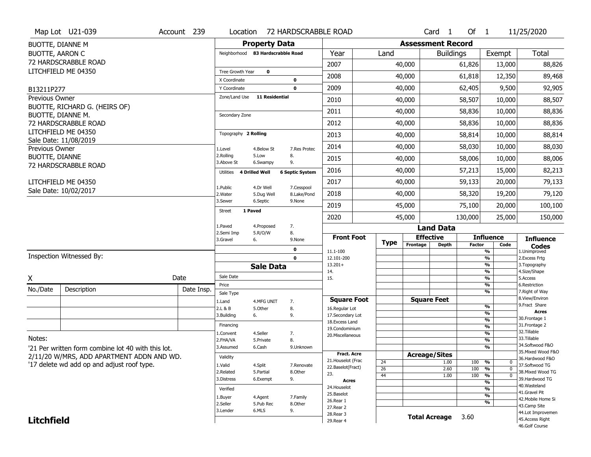|                              | Map Lot U21-039                                    | Account 239 | Location                     |                                   |                        | 72 HARDSCRABBLE ROAD              |                       |          | Card <sub>1</sub>        | Of $1$        |                                | 11/25/2020                           |
|------------------------------|----------------------------------------------------|-------------|------------------------------|-----------------------------------|------------------------|-----------------------------------|-----------------------|----------|--------------------------|---------------|--------------------------------|--------------------------------------|
| <b>BUOTTE, DIANNE M</b>      |                                                    |             |                              | <b>Property Data</b>              |                        |                                   |                       |          | <b>Assessment Record</b> |               |                                |                                      |
| <b>BUOTTE, AARON C</b>       |                                                    |             |                              | Neighborhood 83 Hardscrabble Road |                        | Year                              | Land                  |          | <b>Buildings</b>         |               | Exempt                         | Total                                |
|                              | 72 HARDSCRABBLE ROAD                               |             |                              |                                   |                        | 2007                              |                       | 40,000   |                          | 61,826        | 13,000                         | 88,826                               |
|                              | LITCHFIELD ME 04350                                |             | Tree Growth Year             | $\mathbf 0$                       |                        | 2008                              |                       | 40,000   |                          | 61,818        | 12,350                         | 89,468                               |
|                              |                                                    |             | X Coordinate<br>Y Coordinate |                                   | 0<br>0                 | 2009                              |                       | 40,000   |                          | 62,405        | 9,500                          | 92,905                               |
| B13211P277<br>Previous Owner |                                                    |             | Zone/Land Use                | <b>11 Residential</b>             |                        |                                   |                       |          |                          |               |                                |                                      |
|                              | BUOTTE, RICHARD G. (HEIRS OF)                      |             |                              |                                   |                        | 2010                              |                       | 40,000   |                          | 58,507        | 10,000                         | 88,507                               |
|                              | BUOTTE, DIANNE M.                                  |             | Secondary Zone               |                                   |                        | 2011                              |                       | 40,000   |                          | 58,836        | 10,000                         | 88,836                               |
|                              | 72 HARDSCRABBLE ROAD                               |             |                              |                                   |                        | 2012                              |                       | 40,000   |                          | 58,836        | 10,000                         | 88,836                               |
|                              | LITCHFIELD ME 04350<br>Sale Date: 11/08/2019       |             | Topography 2 Rolling         |                                   |                        | 2013                              |                       | 40,000   |                          | 58,814        | 10,000                         | 88,814                               |
| Previous Owner               |                                                    |             | 1.Level                      | 4.Below St                        | 7.Res Protec           | 2014                              |                       | 40,000   |                          | 58,030        | 10,000                         | 88,030                               |
| <b>BUOTTE, DIANNE</b>        |                                                    |             | 2.Rolling<br>3.Above St      | 5.Low<br>6.Swampy                 | 8.<br>9.               | 2015                              |                       | 40,000   |                          | 58,006        | 10,000                         | 88,006                               |
|                              | 72 HARDSCRABBLE ROAD                               |             | Utilities                    | 4 Drilled Well                    | <b>6 Septic System</b> | 2016                              |                       | 40,000   |                          | 57,213        | 15,000                         | 82,213                               |
|                              | LITCHFIELD ME 04350                                |             | 1.Public                     | 4.Dr Well                         | 7.Cesspool             | 2017                              |                       | 40,000   |                          | 59,133        | 20,000                         | 79,133                               |
|                              | Sale Date: 10/02/2017                              |             | 2. Water                     | 5.Dug Well                        | 8.Lake/Pond            | 2018                              |                       | 40,000   |                          | 58,320        | 19,200                         | 79,120                               |
|                              |                                                    |             | 3.Sewer                      | 6.Septic                          | 9.None                 | 2019                              |                       | 45,000   |                          | 75,100        | 20,000                         | 100,100                              |
|                              |                                                    |             | Street                       | 1 Paved                           |                        | 2020                              |                       | 45,000   |                          | 130,000       | 25,000                         | 150,000                              |
|                              |                                                    |             | 1.Paved<br>2.Semi Imp        | 4.Proposed<br>5.R/O/W             | 7.<br>8.               |                                   |                       |          | <b>Land Data</b>         |               |                                |                                      |
|                              |                                                    |             | 3.Gravel                     | 6.                                | 9.None                 | <b>Front Foot</b>                 |                       |          | <b>Effective</b>         |               | <b>Influence</b>               | <b>Influence</b>                     |
|                              |                                                    |             |                              |                                   |                        |                                   |                       |          |                          |               |                                |                                      |
|                              |                                                    |             |                              |                                   | $\mathbf 0$            | 11.1-100                          | <b>Type</b>           | Frontage | <b>Depth</b>             | <b>Factor</b> | Code<br>$\frac{9}{6}$          | <b>Codes</b><br>1.Unimproved         |
|                              | Inspection Witnessed By:                           |             |                              |                                   | $\mathbf 0$            | 12.101-200                        |                       |          |                          |               | $\frac{9}{6}$                  | 2.Excess Frtg                        |
|                              |                                                    |             |                              | <b>Sale Data</b>                  |                        | $13.201+$<br>14.                  |                       |          |                          |               | $\frac{9}{6}$<br>$\frac{9}{6}$ | 3. Topography<br>4.Size/Shape        |
| X                            |                                                    | Date        | Sale Date                    |                                   |                        | 15.                               |                       |          |                          |               | $\frac{9}{6}$                  | 5.Access                             |
| No./Date                     | Description                                        | Date Insp.  | Price                        |                                   |                        |                                   |                       |          |                          |               | $\frac{9}{6}$<br>$\frac{9}{6}$ | 6.Restriction<br>7. Right of Way     |
|                              |                                                    |             | Sale Type<br>1.Land          | 4.MFG UNIT                        | 7.                     | <b>Square Foot</b>                |                       |          | <b>Square Feet</b>       |               |                                | 8.View/Environ                       |
|                              |                                                    |             | 2.L & B                      | 5.Other                           | 8.                     | 16.Regular Lot                    |                       |          |                          |               | %                              | 9.Fract Share<br><b>Acres</b>        |
|                              |                                                    |             | 3.Building                   | 6.                                | 9.                     | 17.Secondary Lot                  |                       |          |                          |               | %<br>%                         | 30. Frontage 1                       |
|                              |                                                    |             | Financing                    |                                   |                        | 18. Excess Land<br>19.Condominium |                       |          |                          |               | %                              | 31. Frontage 2                       |
|                              |                                                    |             | 1.Convent                    | 4.Seller                          | 7.                     | 20.Miscellaneous                  |                       |          |                          |               | %                              | 32.Tillable                          |
| Notes:                       |                                                    |             | 2.FHA/VA                     | 5.Private                         | 8.                     |                                   |                       |          |                          |               | %                              | 33.Tillable<br>34.Softwood F&O       |
|                              | '21 Per written form combine lot 40 with this lot. |             | 3.Assumed                    | 6.Cash                            | 9.Unknown              | <b>Fract. Acre</b>                |                       |          |                          |               | %                              | 35. Mixed Wood F&O                   |
|                              | 2/11/20 W/MRS, ADD APARTMENT ADDN AND WD.          |             | Validity                     |                                   |                        | 21. Houselot (Frac                |                       |          | <b>Acreage/Sites</b>     |               | 0                              | 36.Hardwood F&O                      |
|                              | '17 delete wd add op and adjust roof type.         |             | 1.Valid                      | 4.Split                           | 7.Renovate             | 22.Baselot(Fract)                 | 24<br>$\overline{26}$ |          | 1.00<br>2.60             | 100<br>100    | %<br>%<br>$\mathbf{0}$         | 37.Softwood TG                       |
|                              |                                                    |             | 2.Related                    | 5.Partial                         | 8.Other                | 23.                               | 44                    |          | 1.00                     | 100           | %<br>$\mathbf{0}$              | 38. Mixed Wood TG                    |
|                              |                                                    |             | 3.Distress                   | 6.Exempt                          | 9.                     | <b>Acres</b>                      |                       |          |                          |               | %                              | 39.Hardwood TG<br>40. Wasteland      |
|                              |                                                    |             | Verified                     |                                   |                        | 24. Houselot<br>25.Baselot        |                       |          |                          |               | %                              | 41.Gravel Pit                        |
|                              |                                                    |             | 1.Buyer                      | 4.Agent                           | 7.Family               | 26.Rear 1                         |                       |          |                          |               | %<br>%                         | 42. Mobile Home Si                   |
|                              |                                                    |             | 2.Seller<br>3.Lender         | 5.Pub Rec<br>6.MLS                | 8.Other<br>9.          | 27. Rear 2                        |                       |          |                          |               |                                | 43.Camp Site                         |
| <b>Litchfield</b>            |                                                    |             |                              |                                   |                        | 28. Rear 3<br>29. Rear 4          |                       |          | <b>Total Acreage</b>     | 3.60          |                                | 44.Lot Improvemen<br>45.Access Right |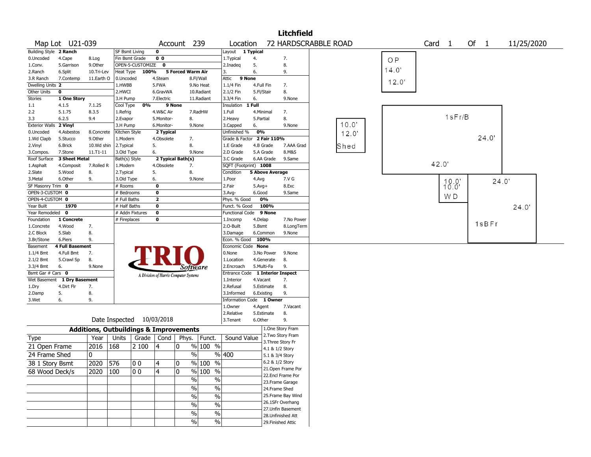|                                                             |                                                   |                           |                  |                                       |                   |                       |                                         |                                  | <b>Litchfield</b>                  |                      |           |                   |                |      |       |            |  |
|-------------------------------------------------------------|---------------------------------------------------|---------------------------|------------------|---------------------------------------|-------------------|-----------------------|-----------------------------------------|----------------------------------|------------------------------------|----------------------|-----------|-------------------|----------------|------|-------|------------|--|
| Map Lot U21-039                                             |                                                   |                           |                  |                                       | Account 239       |                       | Location                                |                                  |                                    | 72 HARDSCRABBLE ROAD |           | Card <sub>1</sub> |                | Of 1 |       | 11/25/2020 |  |
| Building Style 2 Ranch                                      |                                                   | <b>SF Bsmt Living</b>     |                  | $\mathbf 0$                           |                   |                       | Layout                                  | 1 Typical                        |                                    |                      |           |                   |                |      |       |            |  |
| 0.Uncoded<br>4.Cape                                         | 8.Log                                             | Fin Bsmt Grade            |                  | 0 <sub>0</sub>                        |                   |                       | 1. Typical                              | 4.                               | 7.                                 |                      | <b>OP</b> |                   |                |      |       |            |  |
| 1.Conv.<br>5.Garrison                                       | 9.Other                                           |                           | OPEN-5-CUSTOMIZE | $\mathbf 0$                           |                   |                       | 2.Inadeg                                | 5.                               | 8.                                 |                      |           |                   |                |      |       |            |  |
| 2.Ranch<br>6.Split                                          | 10.Tri-Lev                                        | Heat Type                 | 100%             |                                       | 5 Forced Warm Air |                       | 3.                                      | 6.                               | 9.                                 |                      | 14.0'     |                   |                |      |       |            |  |
| 3.R Ranch<br>7.Contemp                                      | 11.Earth O                                        | 0.Uncoded                 |                  | 4.Steam                               |                   | 8.Fl/Wall             | Attic<br>9 None                         |                                  |                                    |                      |           |                   |                |      |       |            |  |
| Dwelling Units 2                                            |                                                   | 1.HWBB                    |                  | 5.FWA                                 |                   | 9.No Heat             | 1.1/4 Fin                               | 4.Full Fin                       | 7.                                 |                      | 12.0'     |                   |                |      |       |            |  |
| Other Units<br>$\mathbf 0$                                  |                                                   | 2.HWCI                    |                  | 6.GravWA                              |                   | 10.Radiant            | 2.1/2 Fin                               | 5.Fl/Stair                       | 8.                                 |                      |           |                   |                |      |       |            |  |
| Stories<br>1 One Story                                      |                                                   | 3.H Pump                  |                  | 7.Electric                            |                   | 11.Radiant            | 3.3/4 Fin                               | 6.                               | 9.None                             |                      |           |                   |                |      |       |            |  |
| 1.1<br>4.1.5                                                | 7.1.25                                            | Cool Type                 | 0%               |                                       | 9 None            |                       | Insulation                              | $1$ Full                         |                                    |                      |           |                   |                |      |       |            |  |
| 5.1.75<br>2.2                                               | 8.3.5                                             | 1.Refrig                  |                  | 4.W&C Air                             |                   | 7.RadHW               | 1.Full                                  | 4.Minimal                        | 7.                                 |                      |           |                   | 1sFr/B         |      |       |            |  |
| 3.3<br>6.2.5                                                | 9.4                                               | 2.Evapor                  |                  | 5.Monitor-                            | 8.                |                       | 2. Heavy                                | 5.Partial                        | 8.                                 | 10.0'                |           |                   |                |      |       |            |  |
| <b>Exterior Walls</b><br>2 Vinyl                            |                                                   | 3.H Pump                  |                  | 6.Monitor-                            |                   | 9.None                | 3.Capped                                | 6.                               | 9.None                             |                      |           |                   |                |      |       |            |  |
| 0.Uncoded<br>4.Asbestos                                     | 8.Concrete                                        | Kitchen Style             |                  | 2 Typical                             |                   |                       | Unfinished %                            | 0%                               |                                    | 12.0'                |           |                   |                |      | 24.0' |            |  |
| 1.Wd Clapb<br>5.Stucco                                      | 9.Other                                           | 1.Modern                  |                  | 4.Obsolete                            |                   | 7.                    |                                         | Grade & Factor 2 Fair 110%       |                                    |                      |           |                   |                |      |       |            |  |
| 2.Vinyl<br>6.Brick<br>7.Stone                               | 10.Wd shin<br>11.T1-11                            | 2.Typical<br>3.Old Type   |                  | 5.<br>6.                              | 8.                | 9.None                | 1.E Grade<br>2.D Grade                  | 4.B Grade<br>5.A Grade           | 7.AAA Grad<br>8.M&S                | Shed                 |           |                   |                |      |       |            |  |
| 3.Compos.<br>Roof Surface<br><b>3 Sheet Metal</b>           |                                                   | Bath(s) Style             |                  |                                       | 2 Typical Bath(s) |                       | 3.C Grade                               | 6.AA Grade                       | 9.Same                             |                      |           |                   |                |      |       |            |  |
| 1.Asphalt<br>4.Composit                                     | 7.Rolled R                                        | 1.Modern                  |                  | 4.Obsolete                            | 7.                |                       | SQFT (Footprint) 1008                   |                                  |                                    |                      |           | 42.0'             |                |      |       |            |  |
| 2.Slate<br>5.Wood                                           | 8.                                                | 2. Typical                |                  | 5.                                    | 8.                |                       | Condition                               | <b>5 Above Average</b>           |                                    |                      |           |                   |                |      |       |            |  |
| 3.Metal<br>6.Other                                          | 9.                                                | 3.Old Type                |                  | 6.                                    |                   | 9.None                | 1.Poor                                  | 4.Avg                            | 7.V G                              |                      |           |                   |                |      | 24.0' |            |  |
| SF Masonry Trim 0                                           |                                                   | # Rooms                   |                  | $\mathbf 0$                           |                   |                       | 2.Fair                                  | $5.Avg+$                         | 8.Exc                              |                      |           |                   | $10.0^{\circ}$ |      |       |            |  |
| OPEN-3-CUSTOM 0                                             |                                                   | # Bedrooms                |                  | $\mathbf 0$                           |                   |                       | $3.$ Avg-                               | 6.Good                           | 9.Same                             |                      |           |                   |                |      |       |            |  |
| OPEN-4-CUSTOM 0                                             |                                                   | # Full Baths              |                  | $\mathbf{2}$                          |                   |                       | Phys. % Good                            | 0%                               |                                    |                      |           |                   | WD             |      |       |            |  |
| Year Built<br>1970                                          |                                                   | # Half Baths              |                  | $\mathbf 0$                           |                   |                       | Funct. % Good                           | 100%                             |                                    |                      |           |                   |                |      |       | 24.0'      |  |
| Year Remodeled 0                                            |                                                   | # Addn Fixtures           |                  | $\mathbf 0$                           |                   |                       | <b>Functional Code</b>                  | 9 None                           |                                    |                      |           |                   |                |      |       |            |  |
| 1 Concrete<br>Foundation                                    |                                                   | # Fireplaces              |                  | 0                                     |                   |                       | 1.Incomp                                | 4.Delap                          | 7.No Power                         |                      |           |                   |                |      | 1sBFr |            |  |
| 1.Concrete<br>4.Wood                                        | 7.                                                |                           |                  |                                       |                   |                       | 2.O-Built                               | 5.Bsmt                           | 8.LongTerm                         |                      |           |                   |                |      |       |            |  |
| 5.Slab<br>2.C Block                                         | 8.                                                |                           |                  |                                       |                   |                       | 3.Damage                                | 6.Common                         | 9.None                             |                      |           |                   |                |      |       |            |  |
| 3.Br/Stone<br>6.Piers<br><b>4 Full Basement</b><br>Basement | 9.                                                |                           |                  |                                       |                   |                       | Econ. % Good 100%<br>Economic Code None |                                  |                                    |                      |           |                   |                |      |       |            |  |
| $1.1/4$ Bmt<br>4.Full Bmt                                   | 7.                                                |                           |                  |                                       |                   |                       | 0.None                                  | 3.No Power                       | 9.None                             |                      |           |                   |                |      |       |            |  |
| 2.1/2 Bmt<br>5.Crawl Sp                                     | 8.                                                |                           |                  |                                       |                   |                       | 1.Location                              | 4.Generate                       | 8.                                 |                      |           |                   |                |      |       |            |  |
| 3.3/4 Bmt<br>6.                                             | 9.None                                            |                           |                  |                                       |                   | Software              | 2.Encroach                              | 5.Multi-Fa                       | 9.                                 |                      |           |                   |                |      |       |            |  |
| Bsmt Gar # Cars 0                                           |                                                   |                           |                  | A Division of Harris Computer Systems |                   |                       |                                         | Entrance Code 1 Interior Inspect |                                    |                      |           |                   |                |      |       |            |  |
| 1 Dry Basement<br>Wet Basement                              |                                                   |                           |                  |                                       |                   |                       | 1.Interior                              | 4.Vacant                         | 7.                                 |                      |           |                   |                |      |       |            |  |
| 4.Dirt Flr<br>1.Dry                                         | 7.                                                |                           |                  |                                       |                   |                       | 2.Refusal                               | 5.Estimate                       | 8.                                 |                      |           |                   |                |      |       |            |  |
| 2.Damp<br>5.                                                | 8.                                                |                           |                  |                                       |                   |                       | 3.Informed                              | 6.Existing                       | 9.                                 |                      |           |                   |                |      |       |            |  |
| 3.Wet<br>6.                                                 | 9.                                                |                           |                  |                                       |                   |                       |                                         | Information Code 1 Owner         |                                    |                      |           |                   |                |      |       |            |  |
|                                                             |                                                   |                           |                  |                                       |                   |                       | 1.0wner                                 | 4.Agent                          | 7.Vacant                           |                      |           |                   |                |      |       |            |  |
|                                                             |                                                   |                           |                  |                                       |                   |                       | 2.Relative                              | 5.Estimate                       | 8.                                 |                      |           |                   |                |      |       |            |  |
|                                                             |                                                   | Date Inspected 10/03/2018 |                  |                                       |                   |                       | 3.Tenant                                | 6.Other                          | 9.                                 |                      |           |                   |                |      |       |            |  |
|                                                             | <b>Additions, Outbuildings &amp; Improvements</b> |                           |                  |                                       |                   |                       |                                         |                                  | 1.One Story Fram                   |                      |           |                   |                |      |       |            |  |
| Type                                                        | Year                                              | Units                     | Grade   Cond     |                                       | Phys.             | Funct.                | Sound Value                             |                                  | 2. Two Story Fram                  |                      |           |                   |                |      |       |            |  |
| 21 Open Frame                                               | 2016                                              | 168                       | 2 100            | 14                                    | 0                 | % 100 %               |                                         |                                  | 3. Three Story Fr                  |                      |           |                   |                |      |       |            |  |
| 24 Frame Shed                                               | 0                                                 |                           |                  |                                       |                   | $\%$                  | %  400                                  |                                  | 4.1 & 1/2 Story<br>5.1 & 3/4 Story |                      |           |                   |                |      |       |            |  |
|                                                             |                                                   |                           |                  |                                       |                   |                       |                                         |                                  | 6.2 & 1/2 Story                    |                      |           |                   |                |      |       |            |  |
| 38 1 Story Bsmt                                             | 2020  576                                         |                           | 100              | 4                                     | 0                 | $% 100$ %             |                                         |                                  | 21.Open Frame Por                  |                      |           |                   |                |      |       |            |  |
| 68 Wood Deck/s                                              | 2020                                              | 100                       | 00               | $\overline{4}$                        | 0                 | % 100 %               |                                         |                                  | 22.Encl Frame Por                  |                      |           |                   |                |      |       |            |  |
|                                                             |                                                   |                           |                  |                                       |                   | $\sqrt{2}$<br>$\%$    |                                         |                                  | 23. Frame Garage                   |                      |           |                   |                |      |       |            |  |
|                                                             |                                                   |                           |                  |                                       |                   | $\sqrt{6}$<br>$\%$    |                                         |                                  | 24.Frame Shed                      |                      |           |                   |                |      |       |            |  |
|                                                             |                                                   |                           |                  |                                       |                   | %<br>$\%$             |                                         |                                  | 25. Frame Bay Wind                 |                      |           |                   |                |      |       |            |  |
|                                                             |                                                   |                           |                  |                                       |                   | %<br>$\%$             |                                         |                                  | 26.1SFr Overhang                   |                      |           |                   |                |      |       |            |  |
|                                                             |                                                   |                           |                  |                                       |                   | $\%$<br>$\frac{0}{0}$ |                                         |                                  | 27. Unfin Basement                 |                      |           |                   |                |      |       |            |  |
|                                                             |                                                   |                           |                  |                                       |                   | $\sqrt{6}$<br>$\%$    |                                         |                                  | 28.Unfinished Att                  |                      |           |                   |                |      |       |            |  |
|                                                             |                                                   |                           |                  |                                       |                   |                       |                                         |                                  | 29. Finished Attic                 |                      |           |                   |                |      |       |            |  |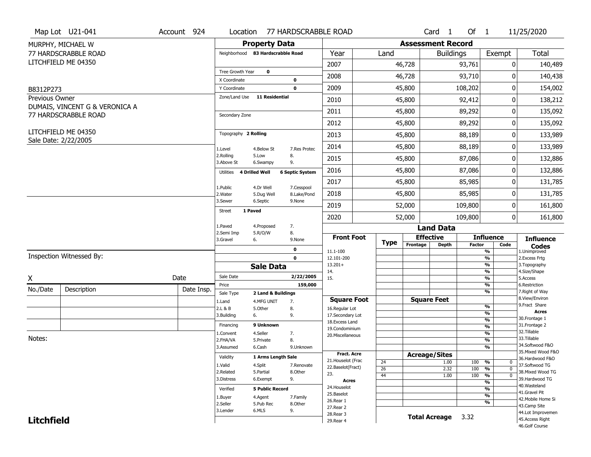|                   | Map Lot U21-041                             | Account 924       | Location                          |                         | 77 HARDSCRABBLE ROAD      |                                   |                      |                       |                      | Card 1             | Of 1          |                                            | 11/25/2020                            |  |  |
|-------------------|---------------------------------------------|-------------------|-----------------------------------|-------------------------|---------------------------|-----------------------------------|----------------------|-----------------------|----------------------|--------------------|---------------|--------------------------------------------|---------------------------------------|--|--|
|                   | MURPHY, MICHAEL W                           |                   |                                   | <b>Property Data</b>    |                           | <b>Assessment Record</b>          |                      |                       |                      |                    |               |                                            |                                       |  |  |
|                   | 77 HARDSCRABBLE ROAD                        |                   | Neighborhood 83 Hardscrabble Road |                         |                           | Year                              |                      | Land                  |                      | <b>Buildings</b>   |               | Exempt                                     | <b>Total</b>                          |  |  |
|                   | LITCHFIELD ME 04350                         |                   |                                   |                         |                           | 2007                              |                      |                       | 46,728               |                    | 93,761        | 0                                          | 140,489                               |  |  |
|                   |                                             |                   | Tree Growth Year                  | $\mathbf 0$             |                           | 2008                              |                      |                       | 46,728               |                    | 93,710        | 0                                          | 140,438                               |  |  |
|                   |                                             |                   | X Coordinate                      |                         | 0<br>$\mathbf 0$          | 2009                              |                      |                       | 45,800               |                    | 108,202       | 0                                          | 154,002                               |  |  |
| B8312P273         |                                             |                   | Y Coordinate<br>Zone/Land Use     | <b>11 Residential</b>   |                           |                                   |                      |                       |                      |                    |               |                                            |                                       |  |  |
| Previous Owner    | DUMAIS, VINCENT G & VERONICA A              |                   |                                   |                         |                           | 2010                              |                      |                       | 45,800               |                    | 92,412        | 0                                          | 138,212                               |  |  |
|                   | 77 HARDSCRABBLE ROAD                        |                   | Secondary Zone                    |                         |                           | 2011                              |                      |                       | 45,800               |                    | 89,292        | 0                                          | 135,092                               |  |  |
|                   |                                             |                   |                                   |                         |                           | 2012                              |                      |                       | 45,800               |                    | 89,292        | 0                                          | 135,092                               |  |  |
|                   | LITCHFIELD ME 04350<br>Sale Date: 2/22/2005 |                   | Topography 2 Rolling              |                         |                           | 2013                              |                      |                       | 45,800               |                    | 88,189        | 0                                          | 133,989                               |  |  |
|                   |                                             |                   | 1.Level                           | 4.Below St              | 7.Res Protec              | 2014                              |                      |                       | 45,800               |                    | 88,189        | 0                                          | 133,989                               |  |  |
|                   |                                             |                   | 2.Rolling<br>3.Above St           | 5.Low<br>6.Swampy       | 8.<br>9.                  | 2015                              |                      |                       | 45,800               |                    | 87,086        | 0                                          | 132,886                               |  |  |
|                   |                                             |                   | 4 Drilled Well<br>Utilities       |                         | <b>6 Septic System</b>    | 2016                              |                      |                       | 45,800               |                    | 87,086        | 0                                          | 132,886                               |  |  |
|                   |                                             |                   |                                   |                         |                           | 2017                              |                      |                       | 45,800               |                    | 85,985        | 0                                          | 131,785                               |  |  |
|                   |                                             |                   | 1.Public<br>2. Water              | 4.Dr Well<br>5.Dug Well | 7.Cesspool<br>8.Lake/Pond | 2018                              |                      |                       | 45,800               |                    | 85,985        | $\mathbf{0}$                               | 131,785                               |  |  |
|                   |                                             |                   | 3.Sewer                           | 6.Septic                | 9.None                    | 2019                              |                      |                       | 52,000               |                    | 109,800       | 0                                          | 161,800                               |  |  |
|                   |                                             | 1 Paved<br>Street |                                   |                         | 2020                      |                                   |                      | 52,000                |                      | 109,800            | 0             | 161,800                                    |                                       |  |  |
|                   |                                             |                   | 1.Paved                           | 4.Proposed              | 7.<br>8.                  |                                   |                      |                       |                      | <b>Land Data</b>   |               |                                            |                                       |  |  |
|                   |                                             |                   | 2.Semi Imp<br>3.Gravel            | 5.R/O/W<br>6.           | 9.None                    | <b>Front Foot</b>                 |                      | <b>Type</b>           | <b>Effective</b>     |                    |               | <b>Influence</b>                           | <b>Influence</b>                      |  |  |
|                   |                                             |                   |                                   |                         | 0                         | 11.1-100                          |                      |                       | Frontage             | <b>Depth</b>       | <b>Factor</b> | Code<br>%                                  | <b>Codes</b><br>1.Unimproved          |  |  |
|                   | Inspection Witnessed By:                    |                   |                                   |                         | $\mathbf 0$               | 12.101-200                        |                      |                       |                      |                    |               | $\frac{9}{6}$                              | 2.Excess Frtg                         |  |  |
|                   |                                             |                   |                                   | <b>Sale Data</b>        |                           | $13.201+$<br>14.                  |                      |                       |                      |                    |               | %<br>%                                     | 3. Topography<br>4.Size/Shape         |  |  |
| X                 |                                             | Date              | Sale Date                         |                         | 2/22/2005                 | 15.                               |                      |                       |                      |                    |               | %                                          | 5.Access                              |  |  |
| No./Date          | Description                                 | Date Insp.        | Price                             |                         | 159,000                   |                                   |                      |                       |                      |                    |               | %<br>%                                     | 6.Restriction<br>7. Right of Way      |  |  |
|                   |                                             |                   | Sale Type<br>1.Land               | 2 Land & Buildings      |                           | <b>Square Foot</b>                |                      |                       |                      | <b>Square Feet</b> |               |                                            | 8.View/Environ                        |  |  |
|                   |                                             |                   | 2.L & B                           | 4.MFG UNIT<br>5.Other   | 7.<br>8.                  | 16.Regular Lot                    |                      |                       |                      |                    |               | $\frac{9}{6}$                              | 9. Fract Share                        |  |  |
|                   |                                             |                   | 3.Building                        | 6.                      | 9.                        | 17.Secondary Lot                  |                      |                       |                      |                    |               | $\frac{9}{6}$                              | <b>Acres</b><br>30. Frontage 1        |  |  |
|                   |                                             |                   | Financing                         | 9 Unknown               |                           | 18.Excess Land<br>19.Condominium  |                      |                       |                      |                    |               | $\frac{9}{6}$<br>$\frac{9}{6}$             | 31. Frontage 2                        |  |  |
|                   |                                             |                   | 1.Convent                         | 4.Seller                | 7.                        | 20.Miscellaneous                  |                      |                       |                      |                    |               | $\frac{9}{6}$                              | 32. Tillable                          |  |  |
| Notes:            |                                             |                   | 2.FHA/VA                          | 5.Private               | 8.                        |                                   |                      |                       |                      |                    |               | $\frac{9}{6}$                              | 33.Tillable                           |  |  |
|                   |                                             |                   | 3.Assumed                         | 6.Cash                  | 9.Unknown                 |                                   |                      |                       |                      |                    |               | %                                          | 34.Softwood F&O<br>35. Mixed Wood F&O |  |  |
|                   |                                             |                   | Validity                          | 1 Arms Length Sale      |                           | Fract. Acre<br>21. Houselot (Frac |                      |                       | <b>Acreage/Sites</b> |                    |               |                                            | 36.Hardwood F&O                       |  |  |
|                   |                                             |                   | 1.Valid                           | 4.Split                 | 7.Renovate                | 22.Baselot(Fract)                 |                      | 24                    |                      | 1.00               | 100           | %<br>0                                     | 37.Softwood TG                        |  |  |
|                   |                                             |                   | 2.Related                         | 5.Partial               | 8.Other                   | 23.                               |                      | $\overline{26}$<br>44 |                      | 2.32<br>1.00       | 100<br>100    | $\overline{0}$<br>%<br>$\overline{0}$<br>% | 38. Mixed Wood TG                     |  |  |
|                   |                                             |                   | 3.Distress                        | 6.Exempt                | 9.                        | <b>Acres</b>                      |                      |                       |                      |                    |               | %                                          | 39.Hardwood TG                        |  |  |
|                   |                                             |                   | Verified                          | <b>5 Public Record</b>  |                           | 24. Houselot                      |                      |                       |                      |                    |               | %                                          | 40. Wasteland                         |  |  |
|                   |                                             |                   |                                   | 4.Agent                 | 7.Family                  | 25.Baselot                        |                      |                       |                      |                    |               | %                                          | 41.Gravel Pit                         |  |  |
|                   |                                             |                   | 1.Buyer<br>2.Seller               | 5.Pub Rec               | 8.Other                   | 26.Rear 1                         |                      |                       |                      |                    |               | %                                          | 42. Mobile Home Si<br>43.Camp Site    |  |  |
|                   |                                             |                   | 3.Lender                          | 6.MLS                   | 9.                        | 27. Rear 2<br>28. Rear 3          |                      |                       |                      |                    |               |                                            | 44.Lot Improvemen                     |  |  |
| <b>Litchfield</b> |                                             |                   |                                   |                         |                           |                                   | <b>Total Acreage</b> | 3.32                  |                      | 45.Access Right    |               |                                            |                                       |  |  |
|                   |                                             |                   |                                   |                         |                           | 29. Rear 4                        |                      |                       |                      |                    |               |                                            |                                       |  |  |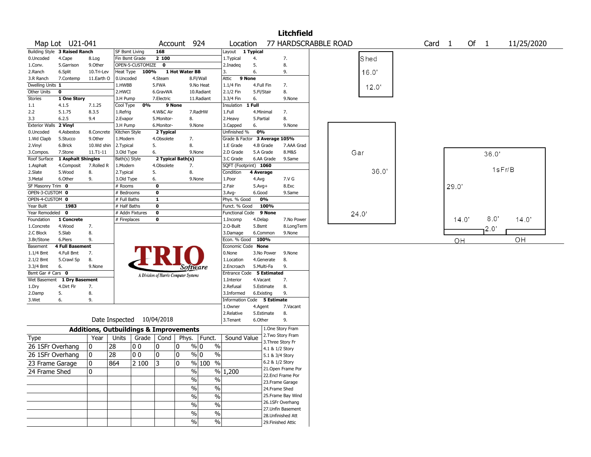|                                    | <b>Litchfield</b>             |                                                   |                              |                    |                           |                                       |                                             |                                         |              |                                      |                      |      |       |                   |       |        |               |            |
|------------------------------------|-------------------------------|---------------------------------------------------|------------------------------|--------------------|---------------------------|---------------------------------------|---------------------------------------------|-----------------------------------------|--------------|--------------------------------------|----------------------|------|-------|-------------------|-------|--------|---------------|------------|
|                                    | Map Lot U21-041               |                                                   |                              |                    |                           | Account 924                           |                                             | Location                                |              |                                      | 77 HARDSCRABBLE ROAD |      |       | Card <sub>1</sub> |       | Of $1$ |               | 11/25/2020 |
|                                    | Building Style 3 Raised Ranch |                                                   | <b>SF Bsmt Living</b>        |                    | 168                       |                                       |                                             | Layout 1 Typical                        |              |                                      |                      |      |       |                   |       |        |               |            |
| 0.Uncoded                          | 4.Cape                        | 8.Log                                             | Fin Bsmt Grade               |                    | 2 100                     |                                       |                                             | 1.Typical                               | 4.           | 7.                                   |                      |      | Shed  |                   |       |        |               |            |
| 1.Conv.                            | 5.Garrison                    | 9.Other                                           |                              | OPEN-5-CUSTOMIZE 0 |                           |                                       |                                             | 2.Inadeg                                | 5.           | 8.                                   |                      |      |       |                   |       |        |               |            |
| 2.Ranch                            | 6.Split                       | 10.Tri-Lev                                        | Heat Type                    | 100%               |                           | 1 Hot Water BB                        |                                             | 3.                                      | 6.           | 9.                                   |                      |      | 16.0  |                   |       |        |               |            |
| 3.R Ranch                          | 7.Contemp                     | 11.Earth O                                        | 0.Uncoded                    |                    | 4.Steam                   |                                       | 8.Fl/Wall                                   | 9 None<br>Attic                         |              |                                      |                      |      |       |                   |       |        |               |            |
| Dwelling Units 1                   |                               |                                                   | 1.HWBB                       |                    | 5.FWA                     |                                       | 9.No Heat                                   | 1.1/4 Fin                               | 4.Full Fin   | 7.                                   |                      |      | 12.0' |                   |       |        |               |            |
| Other Units                        | $\mathbf 0$                   |                                                   | 2.HWCI                       |                    | 6.GravWA                  |                                       | 10.Radiant                                  | 2.1/2 Fin                               | 5.Fl/Stair   | 8.                                   |                      |      |       |                   |       |        |               |            |
| <b>Stories</b>                     | 1 One Story                   |                                                   | 3.H Pump                     |                    | 7.Electric                |                                       | 11.Radiant                                  | 3.3/4 Fin                               | 6.           | 9.None                               |                      |      |       |                   |       |        |               |            |
| 1.1                                | 4.1.5                         | 7.1.25                                            | Cool Type                    | 0%                 |                           | 9 None                                |                                             | Insulation                              | 1 Full       |                                      |                      |      |       |                   |       |        |               |            |
| 2.2                                | 5.1.75                        | 8.3.5                                             | 1.Refrig                     |                    | 4.W&C Air                 |                                       | 7.RadHW                                     | 1.Full                                  | 4.Minimal    | 7.                                   |                      |      |       |                   |       |        |               |            |
| 3.3                                | 6.2.5                         | 9.4                                               | 2.Evapor                     |                    | 5.Monitor-                | 8.                                    |                                             | 2.Heavy                                 | 5.Partial    | 8.                                   |                      |      |       |                   |       |        |               |            |
| <b>Exterior Walls</b>              | 2 Vinyl                       |                                                   | 3.H Pump                     |                    | 6.Monitor-                | 9.None                                |                                             | 3.Capped                                | 6.           | 9.None                               |                      |      |       |                   |       |        |               |            |
| 0.Uncoded                          | 4.Asbestos                    | 8.Concrete                                        | Kitchen Style                |                    | 2 Typical                 |                                       |                                             | Unfinished %                            | 0%           |                                      |                      |      |       |                   |       |        |               |            |
| 1.Wd Clapb                         | 5.Stucco                      | 9.0ther                                           | 1.Modern                     |                    | 4.Obsolete                | 7.                                    |                                             | Grade & Factor                          |              | 3 Average 105%                       |                      |      |       |                   |       |        |               |            |
| 2.Vinyl                            | 6.Brick                       | 10.Wd shin                                        | 2.Typical                    |                    | 5.                        | 8.                                    |                                             | 1.E Grade                               | 4.B Grade    | 7.AAA Grad                           |                      |      |       |                   |       |        |               |            |
| 3.Compos.                          | 7.Stone                       | $11. T1 - 11$                                     | 3.Old Type                   |                    | 6.                        | 9.None                                |                                             | 2.D Grade                               | 5.A Grade    | 8.M&S                                |                      | Gar  |       |                   |       |        | 36.0'         |            |
| Roof Surface                       | 1 Asphalt Shingles            |                                                   | Bath(s) Style                |                    |                           | 2 Typical Bath(s)                     |                                             | 3.C Grade                               | 6.AA Grade   | 9.Same                               |                      |      |       |                   |       |        |               |            |
| 1.Asphalt                          | 4.Composit                    | 7.Rolled R                                        | 1.Modern                     |                    | 4.Obsolete                | 7.                                    |                                             | SQFT (Footprint) 1060                   |              |                                      |                      |      | 36.0' |                   |       |        | 1sFr/B        |            |
| 2.Slate                            | 5.Wood                        | 8.                                                | 2. Typical                   |                    | 5.                        | 8.                                    |                                             | Condition                               | 4 Average    |                                      |                      |      |       |                   |       |        |               |            |
| 3.Metal                            | 6.Other                       | 9.                                                | 3.Old Type                   |                    | 6.                        | 9.None                                |                                             | 1.Poor                                  | 4.Avg        | 7.V G                                |                      |      |       |                   |       |        |               |            |
| SF Masonry Trim 0                  |                               |                                                   | # Rooms                      |                    | $\bf{0}$                  |                                       |                                             | 2.Fair                                  | $5.Avg+$     | 8.Exc                                |                      |      |       |                   | 29.0  |        |               |            |
| OPEN-3-CUSTOM 0<br>OPEN-4-CUSTOM 0 |                               |                                                   | # Bedrooms                   |                    | $\pmb{0}$<br>$\mathbf{1}$ |                                       |                                             | 3.Avg-                                  | 6.Good<br>0% | 9.Same                               |                      |      |       |                   |       |        |               |            |
| Year Built                         | 1983                          |                                                   | # Full Baths<br># Half Baths |                    | $\mathbf 0$               |                                       |                                             | Phys. % Good                            | 100%         |                                      |                      |      |       |                   |       |        |               |            |
| Year Remodeled 0                   |                               |                                                   | # Addn Fixtures              |                    | $\pmb{0}$                 |                                       |                                             | Funct. % Good<br><b>Functional Code</b> | 9 None       |                                      |                      |      |       |                   |       |        |               |            |
| Foundation                         | 1 Concrete                    |                                                   | # Fireplaces                 |                    | 0                         |                                       |                                             | 1.Incomp                                | 4.Delap      | 7.No Power                           |                      | 24.0 |       |                   | 14.0' |        | 8.0"          | 14.0'      |
| 1.Concrete                         | 4.Wood                        | 7.                                                |                              |                    |                           |                                       |                                             | 2.O-Built                               | 5.Bsmt       | 8.LongTerm                           |                      |      |       |                   |       |        |               |            |
| 2.C Block                          | 5.Slab                        | 8.                                                |                              |                    |                           |                                       |                                             | 3.Damage                                | 6.Common     | 9.None                               |                      |      |       |                   |       |        | $2.0^{\circ}$ |            |
| 3.Br/Stone                         | 6.Piers                       | 9.                                                |                              |                    |                           |                                       |                                             | Econ. % Good                            | 100%         |                                      |                      |      |       |                   | OH    |        |               | OH         |
| Basement                           | <b>4 Full Basement</b>        |                                                   |                              |                    |                           |                                       |                                             | Economic Code None                      |              |                                      |                      |      |       |                   |       |        |               |            |
| 1.1/4 Bmt                          | 4.Full Bmt                    | 7.                                                |                              |                    |                           |                                       |                                             | 0.None                                  | 3.No Power   | 9.None                               |                      |      |       |                   |       |        |               |            |
| 2.1/2 Bmt                          | 5.Crawl Sp                    | 8.                                                |                              |                    |                           |                                       |                                             | 1.Location                              | 4.Generate   | 8.                                   |                      |      |       |                   |       |        |               |            |
| 3.3/4 Bmt                          | 6.                            | 9.None                                            |                              |                    |                           | Software                              |                                             | 2.Encroach                              | 5.Multi-Fa   | 9.                                   |                      |      |       |                   |       |        |               |            |
| Bsmt Gar # Cars 0                  |                               |                                                   |                              |                    |                           | A Division of Harris Computer Systems |                                             | Entrance Code 5 Estimated               |              |                                      |                      |      |       |                   |       |        |               |            |
| Wet Basement                       | 1 Dry Basement                |                                                   |                              |                    |                           |                                       |                                             | 1.Interior                              | 4.Vacant     | 7.                                   |                      |      |       |                   |       |        |               |            |
| 1.Dry                              | 4.Dirt Flr                    | 7.                                                |                              |                    |                           |                                       |                                             | 2.Refusal                               | 5.Estimate   | 8.                                   |                      |      |       |                   |       |        |               |            |
| 2.Damp                             | 5.                            | 8.                                                |                              |                    |                           |                                       |                                             | 3.Informed                              | 6.Existing   | 9.                                   |                      |      |       |                   |       |        |               |            |
| 3.Wet                              | 6.                            | 9.                                                |                              |                    |                           |                                       |                                             | Information Code 5 Estimate             |              |                                      |                      |      |       |                   |       |        |               |            |
|                                    |                               |                                                   |                              |                    |                           |                                       |                                             | 1.Owner                                 | 4.Agent      | 7.Vacant                             |                      |      |       |                   |       |        |               |            |
|                                    |                               |                                                   |                              |                    |                           |                                       |                                             | 2.Relative                              | 5.Estimate   | 8.                                   |                      |      |       |                   |       |        |               |            |
|                                    |                               |                                                   | Date Inspected 10/04/2018    |                    |                           |                                       |                                             | 3.Tenant                                | 6.Other      | 9.                                   |                      |      |       |                   |       |        |               |            |
|                                    |                               | <b>Additions, Outbuildings &amp; Improvements</b> |                              |                    |                           |                                       |                                             |                                         |              | 1.One Story Fram                     |                      |      |       |                   |       |        |               |            |
| Type                               |                               | Year                                              | Units                        | Grade   Cond       |                           |                                       | Phys.   Funct.                              | Sound Value                             |              | 2. Two Story Fram                    |                      |      |       |                   |       |        |               |            |
| 26 1SFr Overhang                   |                               | 0                                                 | 28                           | O O                | 0                         | 0                                     | % 0<br>$\%$                                 |                                         |              | 3. Three Story Fr                    |                      |      |       |                   |       |        |               |            |
| 26 1SFr Overhang                   |                               | 10                                                | 28                           | O O                | 0                         | $\mathbf 0$                           | $\sqrt[6]{\frac{6}{10}}$<br>$\%$            |                                         |              | 4.1 & 1/2 Story                      |                      |      |       |                   |       |        |               |            |
|                                    |                               |                                                   |                              |                    |                           |                                       |                                             |                                         |              | 5.1 & 3/4 Story                      |                      |      |       |                   |       |        |               |            |
| 23 Frame Garage                    |                               | 10                                                | 864                          | 2100               | $\overline{3}$            | $\Omega$                              | $\sqrt{96}$ 100<br>$\overline{\frac{0}{6}}$ |                                         |              | 6.2 & 1/2 Story<br>21.Open Frame Por |                      |      |       |                   |       |        |               |            |
| 24 Frame Shed                      |                               | 10.                                               |                              |                    |                           | $\%$                                  |                                             | % 1,200                                 |              | 22.Encl Frame Por                    |                      |      |       |                   |       |        |               |            |
|                                    |                               |                                                   |                              |                    |                           | $\sqrt{2}$                            | $\%$                                        |                                         |              | 23. Frame Garage                     |                      |      |       |                   |       |        |               |            |
|                                    |                               |                                                   |                              |                    |                           | $\sqrt{2}$                            | $\frac{0}{0}$                               |                                         |              | 24.Frame Shed                        |                      |      |       |                   |       |        |               |            |
|                                    |                               |                                                   |                              |                    |                           | $\%$                                  | $\%$                                        |                                         |              | 25. Frame Bay Wind                   |                      |      |       |                   |       |        |               |            |
|                                    |                               |                                                   |                              |                    |                           |                                       |                                             |                                         |              | 26.1SFr Overhang                     |                      |      |       |                   |       |        |               |            |
|                                    |                               |                                                   |                              |                    |                           | $\sqrt{2}$                            | $\overline{\frac{0}{0}}$                    |                                         |              | 27.Unfin Basement                    |                      |      |       |                   |       |        |               |            |
|                                    |                               |                                                   |                              |                    |                           | %                                     | $\%$                                        |                                         |              | 28.Unfinished Att                    |                      |      |       |                   |       |        |               |            |
|                                    |                               |                                                   |                              |                    |                           | $\sqrt{2}$                            | $\%$                                        |                                         |              | 29. Finished Attic                   |                      |      |       |                   |       |        |               |            |
|                                    |                               |                                                   |                              |                    |                           |                                       |                                             |                                         |              |                                      |                      |      |       |                   |       |        |               |            |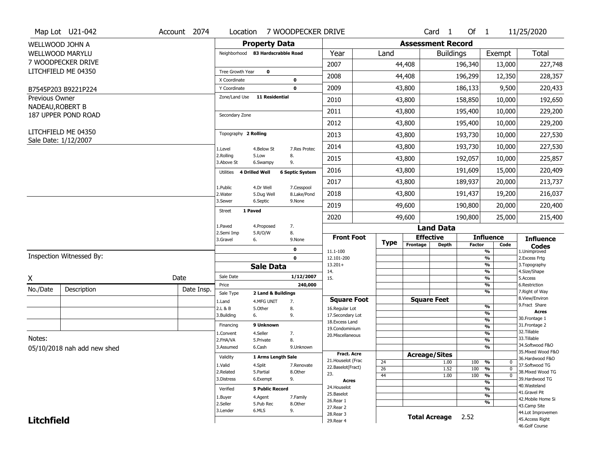|                                    | Map Lot U21-042             | Account 2074 | Location                      | 7 WOODPECKER DRIVE                     |                                  |                          |                      | Card <sub>1</sub>    | Of $1$        |                          | 11/25/2020                           |  |  |  |  |  |
|------------------------------------|-----------------------------|--------------|-------------------------------|----------------------------------------|----------------------------------|--------------------------|----------------------|----------------------|---------------|--------------------------|--------------------------------------|--|--|--|--|--|
|                                    | WELLWOOD JOHN A             |              |                               | <b>Property Data</b>                   |                                  | <b>Assessment Record</b> |                      |                      |               |                          |                                      |  |  |  |  |  |
|                                    | <b>WELLWOOD MARYLU</b>      |              |                               | Neighborhood 83 Hardscrabble Road      | Year                             | Land                     |                      | <b>Buildings</b>     |               | Exempt                   | Total                                |  |  |  |  |  |
|                                    | 7 WOODPECKER DRIVE          |              |                               |                                        | 2007                             |                          | 44,408               |                      | 196,340       | 13,000                   | 227,748                              |  |  |  |  |  |
|                                    | LITCHFIELD ME 04350         |              | Tree Growth Year              | $\mathbf 0$                            | 2008                             |                          | 44,408               |                      | 196,299       | 12,350                   | 228,357                              |  |  |  |  |  |
|                                    |                             |              | X Coordinate                  | 0                                      |                                  |                          |                      |                      |               |                          |                                      |  |  |  |  |  |
|                                    | B7545P203 B9221P224         |              | Y Coordinate<br>Zone/Land Use | $\mathbf 0$<br><b>11 Residential</b>   | 2009                             |                          | 43,800               |                      | 186,133       | 9,500                    | 220,433                              |  |  |  |  |  |
| Previous Owner<br>NADEAU, ROBERT B |                             |              |                               |                                        | 2010                             |                          | 43,800               |                      | 158,850       | 10,000                   | 192,650                              |  |  |  |  |  |
|                                    | 187 UPPER POND ROAD         |              | Secondary Zone                |                                        | 2011                             |                          | 43,800               |                      | 195,400       | 10,000                   | 229,200                              |  |  |  |  |  |
|                                    |                             |              |                               |                                        | 2012                             |                          | 43,800               |                      | 195,400       | 10,000                   | 229,200                              |  |  |  |  |  |
|                                    | LITCHFIELD ME 04350         |              | Topography 2 Rolling          |                                        | 2013                             |                          | 43,800               |                      | 193,730       | 10,000                   | 227,530                              |  |  |  |  |  |
|                                    | Sale Date: 1/12/2007        |              | 1.Level                       | 7.Res Protec<br>4.Below St             | 2014                             |                          | 43,800               |                      | 193,730       | 10,000                   | 227,530                              |  |  |  |  |  |
|                                    |                             |              | 2.Rolling<br>3.Above St       | 8.<br>5.Low<br>9.<br>6.Swampy          | 2015                             |                          | 43,800               |                      | 192,057       | 10,000                   | 225,857                              |  |  |  |  |  |
|                                    |                             |              | 4 Drilled Well<br>Utilities   | <b>6 Septic System</b>                 | 2016                             |                          | 43,800               |                      | 191,609       | 15,000                   | 220,409                              |  |  |  |  |  |
|                                    |                             |              | 1.Public                      | 4.Dr Well<br>7.Cesspool                | 2017                             |                          | 43,800               |                      | 189,937       | 20,000                   | 213,737                              |  |  |  |  |  |
|                                    |                             |              | 2. Water                      | 8.Lake/Pond<br>5.Dug Well              | 2018                             |                          | 43,800               |                      | 191,437       | 19,200                   | 216,037                              |  |  |  |  |  |
|                                    |                             |              | 3.Sewer<br>1 Paved            | 6.Septic<br>9.None                     | 2019                             |                          | 49,600               |                      | 190,800       | 20,000                   | 220,400                              |  |  |  |  |  |
|                                    |                             |              | <b>Street</b>                 |                                        | 2020                             |                          | 49,600               |                      | 190,800       | 25,000                   | 215,400                              |  |  |  |  |  |
|                                    |                             |              | 1.Paved                       | 4.Proposed<br>7.                       |                                  |                          |                      | <b>Land Data</b>     |               |                          |                                      |  |  |  |  |  |
|                                    |                             |              | 2.Semi Imp<br>3.Gravel<br>6.  | 8.<br>5.R/O/W<br>9.None                | <b>Front Foot</b>                | <b>Type</b>              | <b>Effective</b>     |                      |               | <b>Influence</b>         | <b>Influence</b>                     |  |  |  |  |  |
|                                    |                             |              |                               | 0                                      | 11.1-100                         |                          | Frontage             | <b>Depth</b>         | <b>Factor</b> | Code<br>%                | <b>Codes</b><br>1.Unimproved         |  |  |  |  |  |
|                                    | Inspection Witnessed By:    |              |                               | $\mathbf 0$                            | 12.101-200                       |                          |                      |                      |               | %                        | 2. Excess Frtg                       |  |  |  |  |  |
|                                    |                             |              |                               | <b>Sale Data</b>                       | $13.201+$<br>14.                 |                          |                      |                      |               | %<br>%                   | 3. Topography<br>4.Size/Shape        |  |  |  |  |  |
| X                                  |                             | Date         | Sale Date                     | 1/12/2007                              | 15.                              |                          |                      |                      |               | %                        | 5.Access                             |  |  |  |  |  |
| No./Date                           | Description                 | Date Insp.   | Price                         | 240,000                                |                                  |                          |                      |                      |               | %<br>%                   | 6.Restriction<br>7. Right of Way     |  |  |  |  |  |
|                                    |                             |              | Sale Type<br>1.Land           | 2 Land & Buildings<br>4.MFG UNIT<br>7. | <b>Square Foot</b>               |                          | <b>Square Feet</b>   |                      |               |                          | 8.View/Environ                       |  |  |  |  |  |
|                                    |                             |              | 2.L & B                       | 5.Other<br>8.                          | 16.Regular Lot                   |                          |                      |                      |               | %                        | 9.Fract Share                        |  |  |  |  |  |
|                                    |                             |              | 3.Building<br>6.              | 9.                                     | 17.Secondary Lot                 |                          |                      |                      |               | %<br>$\frac{9}{6}$       | <b>Acres</b><br>30.Frontage 1        |  |  |  |  |  |
|                                    |                             |              | Financing                     | 9 Unknown                              | 18.Excess Land<br>19.Condominium |                          |                      |                      |               | $\frac{9}{6}$            | 31. Frontage 2                       |  |  |  |  |  |
|                                    |                             |              | 1.Convent                     | 4.Seller<br>7.                         | 20.Miscellaneous                 |                          |                      |                      |               | $\frac{9}{6}$            | 32.Tillable                          |  |  |  |  |  |
| Notes:                             |                             |              |                               |                                        |                                  |                          |                      |                      |               |                          | 33.Tillable                          |  |  |  |  |  |
|                                    |                             |              | 2.FHA/VA                      | 8.<br>5.Private                        |                                  |                          |                      |                      |               | $\overline{\frac{9}{6}}$ |                                      |  |  |  |  |  |
|                                    |                             |              | 3.Assumed                     | 6.Cash<br>9.Unknown                    |                                  |                          |                      |                      |               | $\overline{\frac{9}{6}}$ | 34.Softwood F&O                      |  |  |  |  |  |
|                                    | 05/10/2018 nah add new shed |              | Validity                      | 1 Arms Length Sale                     | <b>Fract. Acre</b>               |                          | <b>Acreage/Sites</b> |                      |               |                          | 35. Mixed Wood F&O                   |  |  |  |  |  |
|                                    |                             |              |                               |                                        | 21. Houselot (Frac               | 24                       |                      | 1.00                 | 100           | %<br>0                   | 36.Hardwood F&O                      |  |  |  |  |  |
|                                    |                             |              | 1.Valid<br>2.Related          | 4.Split<br>7.Renovate<br>8.Other       | 22.Baselot(Fract)                | 26                       |                      | 1.52                 | 100           | %<br>$\mathbf 0$         | 37.Softwood TG                       |  |  |  |  |  |
|                                    |                             |              | 3.Distress                    | 5.Partial<br>9.<br>6.Exempt            | 23.                              | 44                       |                      | 1.00                 | 100           | %<br>$\mathbf 0$         | 38. Mixed Wood TG<br>39.Hardwood TG  |  |  |  |  |  |
|                                    |                             |              |                               |                                        | <b>Acres</b><br>24. Houselot     |                          |                      |                      |               | %                        | 40. Wasteland                        |  |  |  |  |  |
|                                    |                             |              | Verified                      | <b>5 Public Record</b>                 | 25.Baselot                       |                          |                      |                      |               | %                        | 41.Gravel Pit                        |  |  |  |  |  |
|                                    |                             |              | 1.Buyer                       | 4.Agent<br>7.Family                    | 26.Rear 1                        |                          |                      |                      |               | $\frac{9}{6}$<br>%       | 42. Mobile Home Si                   |  |  |  |  |  |
|                                    |                             |              | 2.Seller                      | 5.Pub Rec<br>8.Other                   | 27.Rear 2                        |                          |                      |                      |               |                          | 43.Camp Site                         |  |  |  |  |  |
| <b>Litchfield</b>                  |                             |              | 3.Lender                      | 6.MLS<br>9.                            | 28. Rear 3<br>29. Rear 4         |                          |                      | <b>Total Acreage</b> | 2.52          |                          | 44.Lot Improvemen<br>45.Access Right |  |  |  |  |  |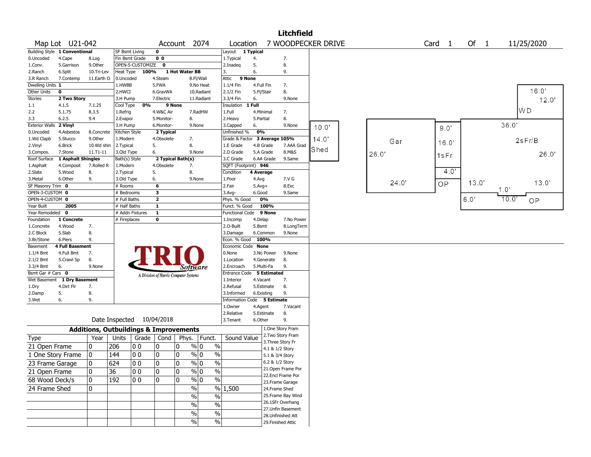| <b>Litchfield</b><br>7 WOODPECKER DRIVE |                               |                                                   |                |                           |                   |                                       |               |                             |              |            |                                       |       |       |       |       |       |                |
|-----------------------------------------|-------------------------------|---------------------------------------------------|----------------|---------------------------|-------------------|---------------------------------------|---------------|-----------------------------|--------------|------------|---------------------------------------|-------|-------|-------|-------|-------|----------------|
| Map Lot U21-042                         |                               |                                                   |                | Account 2074              |                   | Location                              |               | Of $1$                      |              | 11/25/2020 |                                       |       |       |       |       |       |                |
|                                         | Building Style 1 Conventional |                                                   | SF Bsmt Living |                           | 0                 |                                       |               | Layout 1 Typical            |              |            |                                       |       |       |       |       |       |                |
| 0.Uncoded                               | 4.Cape                        | 8.Log                                             | Fin Bsmt Grade |                           | 0 <sub>0</sub>    |                                       |               | 1. Typical                  | 4.           |            | 7.                                    |       |       |       |       |       |                |
| 1.Conv.                                 | 5.Garrison                    | 9.Other                                           |                | OPEN-5-CUSTOMIZE          | 0                 |                                       |               | 2.Inadeg                    | 5.           |            | 8.                                    |       |       |       |       |       |                |
| 2.Ranch                                 | 6.Split                       | 10.Tri-Lev                                        |                | Heat Type 100%            |                   | 1 Hot Water BB                        |               | 3.                          | 6.           |            | 9.                                    |       |       |       |       |       |                |
| 3.R Ranch                               | 7.Contemp                     | 11.Earth O                                        | 0.Uncoded      |                           | 4.Steam           |                                       | 8.Fl/Wall     | Attic 9 None                |              |            |                                       |       |       |       |       |       |                |
| Dwelling Units 1                        |                               |                                                   | 1.HWBB         |                           | 5.FWA             |                                       | 9.No Heat     | 1.1/4 Fin                   | 4.Full Fin   |            | 7.                                    |       |       |       |       |       |                |
| Other Units                             | 0                             |                                                   | 2.HWCI         |                           | 6.GravWA          |                                       | 10.Radiant    | 2.1/2 Fin                   | 5.Fl/Stair   |            | 8.                                    |       |       |       |       |       | 16.0'          |
| <b>Stories</b>                          | 2 Two Story                   |                                                   | 3.H Pump       |                           | 7.Electric        |                                       | 11.Radiant    | 3.3/4 Fin                   | 6.           |            | 9.None                                |       |       |       |       |       | 12.0'          |
| 1.1                                     | 4.1.5                         | 7.1.25                                            | Cool Type      | 0%                        | 9 None            |                                       |               | Insulation                  | 1 Full       |            |                                       |       |       |       |       |       | W <sub>D</sub> |
| 2.2                                     | 5.1.75                        | 8.3.5                                             | 1.Refrig       |                           | 4.W&C Air         |                                       | 7.RadHW       | 1.Full                      | 4.Minimal    |            | 7.                                    |       |       |       |       |       |                |
| 3.3                                     | 6.2.5                         | 9.4                                               | 2.Evapor       |                           | 5.Monitor-        | 8.                                    |               | 2.Heavy                     | 5.Partial    |            | 8.                                    |       |       |       |       |       |                |
| <b>Exterior Walls</b>                   | 2 Vinyl                       |                                                   | 3.H Pump       |                           | 6.Monitor-        | 9.None                                |               | 3.Capped                    | 6.           |            | 9.None                                | 10.0' |       | 9.0'  |       | 36.0' |                |
| 0.Uncoded                               | 4.Asbestos                    | 8.Concrete                                        | Kitchen Style  |                           | 2 Typical         |                                       |               | Unfinished %                | 0%           |            |                                       |       |       |       |       |       |                |
| 1.Wd Clapb                              | 5.Stucco                      | 9.0ther                                           | 1.Modern       |                           | 4.Obsolete        | 7.                                    |               | Grade & Factor              |              |            | 3 Average 105%                        | 14.0' | Gar   | 16.0' |       |       | 2sFr/B         |
| 2.Vinyl                                 | 6.Brick                       | 10.Wd shin                                        | 2.Typical      |                           | 5.                | 8.                                    |               | 1.E Grade                   | 4.B Grade    |            | 7.AAA Grad                            | Shed  |       |       |       |       |                |
| 3.Compos.                               | 7.Stone                       | 11.T1-11                                          | 3.Old Type     |                           | 6.                | 9.None                                |               | 2.D Grade                   |              | 5.A Grade  | 8.M&S                                 |       | 26.0  | 1sFr  |       |       | 26.0           |
| Roof Surface                            | 1 Asphalt Shingles            |                                                   | Bath(s) Style  |                           | 2 Typical Bath(s) |                                       |               | 3.C Grade                   |              | 6.AA Grade | 9.Same                                |       |       |       |       |       |                |
| 1.Asphalt                               | 4.Composit                    | 7.Rolled R                                        | 1.Modern       |                           | 4.Obsolete        | 7.                                    |               | SQFT (Footprint) 946        |              |            |                                       |       |       | 40'   |       |       |                |
| 2.Slate                                 | 5.Wood                        | 8.                                                | 2. Typical     |                           | 5.                | 8.                                    |               | Condition                   | 4 Average    |            |                                       |       |       |       |       |       |                |
| 3.Metal                                 | 6.Other                       | 9.                                                | 3.Old Type     |                           | 6.                | 9.None                                |               | 1.Poor                      | 4.Avg        |            | 7.V G                                 |       | 24.0' | OP    | 13.0' |       | 13.0'          |
| SF Masonry Trim 0                       |                               |                                                   | # Rooms        |                           | 6                 |                                       |               | 2.Fair                      | $5.$ Avg $+$ |            | 8.Exc                                 |       |       |       |       | 1.0   |                |
| OPEN-3-CUSTOM 0                         |                               |                                                   | # Bedrooms     |                           | 3                 |                                       |               | 3.Avg-                      | 6.Good       |            | 9.Same                                |       |       |       |       |       |                |
| OPEN-4-CUSTOM 0                         |                               |                                                   | # Full Baths   |                           | $\mathbf{2}$      |                                       |               | Phys. % Good                |              | 0%         |                                       |       |       |       | 6.0'  | 10.0  | OP.            |
| Year Built                              | 2005                          |                                                   | # Half Baths   |                           | $\mathbf{1}$      |                                       |               | Funct. % Good               |              | 100%       |                                       |       |       |       |       |       |                |
| Year Remodeled 0                        |                               |                                                   |                | # Addn Fixtures           | $\mathbf{1}$      |                                       |               | Functional Code 9 None      |              |            |                                       |       |       |       |       |       |                |
| Foundation                              | 1 Concrete                    |                                                   | # Fireplaces   |                           | 0                 |                                       |               | 1.Incomp                    | 4.Delap      |            | 7.No Power                            |       |       |       |       |       |                |
| 1.Concrete                              | 4.Wood                        | 7.                                                |                |                           |                   |                                       |               | 2.O-Built                   | 5.Bsmt       |            | 8.LongTerm                            |       |       |       |       |       |                |
| 2.C Block                               | 5.Slab                        | 8.                                                |                |                           |                   |                                       |               | 3.Damage                    |              | 6.Common   | 9.None                                |       |       |       |       |       |                |
| 3.Br/Stone                              | 6.Piers                       | 9.                                                |                |                           |                   |                                       |               | Econ. % Good                | 100%         |            |                                       |       |       |       |       |       |                |
| Basement                                | <b>4 Full Basement</b>        |                                                   |                |                           |                   |                                       |               | Economic Code None          |              |            |                                       |       |       |       |       |       |                |
| 1.1/4 Bmt                               | 4.Full Bmt                    | 7.                                                |                |                           |                   |                                       |               | 0.None                      |              | 3.No Power | 9.None                                |       |       |       |       |       |                |
| 2.1/2 Bmt                               | 5.Crawl Sp                    | 8.                                                |                |                           |                   |                                       |               | 1.Location                  |              | 4.Generate | 8.                                    |       |       |       |       |       |                |
| 3.3/4 Bmt                               | 6.                            | 9.None                                            |                |                           |                   | Software                              |               | 2.Encroach                  | 5.Multi-Fa   |            | 9.                                    |       |       |       |       |       |                |
| Bsmt Gar # Cars 0                       |                               |                                                   |                |                           |                   | A Division of Harris Computer Systems |               | Entrance Code 5 Estimated   |              |            |                                       |       |       |       |       |       |                |
|                                         | Wet Basement 1 Dry Basement   |                                                   |                |                           |                   |                                       |               | 1.Interior                  | 4.Vacant     |            | 7.                                    |       |       |       |       |       |                |
| 1.Dry                                   | 4.Dirt Flr                    | 7.                                                |                |                           |                   |                                       |               | 2.Refusal                   |              | 5.Estimate | 8.                                    |       |       |       |       |       |                |
| 2.Damp                                  | 5.                            | 8.                                                |                |                           |                   |                                       |               | 3.Informed                  | 6.Existing   |            | 9.                                    |       |       |       |       |       |                |
| 3.Wet                                   | 6.                            | 9.                                                |                |                           |                   |                                       |               | Information Code 5 Estimate |              |            |                                       |       |       |       |       |       |                |
|                                         |                               |                                                   |                |                           |                   |                                       |               | 1.Owner                     | 4.Agent      |            | 7.Vacant                              |       |       |       |       |       |                |
|                                         |                               |                                                   |                | Date Inspected 10/04/2018 |                   |                                       |               | 2.Relative                  |              | 5.Estimate | 8.                                    |       |       |       |       |       |                |
|                                         |                               |                                                   |                |                           |                   |                                       |               | 3.Tenant                    | 6.Other      |            | 9.                                    |       |       |       |       |       |                |
|                                         |                               | <b>Additions, Outbuildings &amp; Improvements</b> |                |                           |                   |                                       |               |                             |              |            | 1.One Story Fram<br>2. Two Story Fram |       |       |       |       |       |                |
| Type                                    |                               | Year                                              | Units          | Grade   Cond              |                   | Phys.                                 | Funct.        | Sound Value                 |              |            | 3. Three Story Fr                     |       |       |       |       |       |                |
| 21 Open Frame                           |                               | 0                                                 | 206            | 0 <sub>0</sub>            | 0                 | % 0<br>0                              | $\%$          |                             |              |            | 4.1 & 1/2 Story                       |       |       |       |       |       |                |
| 1 One Story Frame                       |                               | 0                                                 | 144            | 0 <sub>0</sub>            | 0                 | $\%$ 0<br>0                           | $\%$          |                             |              |            | 5.1 & 3/4 Story                       |       |       |       |       |       |                |
| 23 Frame Garage                         |                               | 0                                                 | 624            | $ 00\rangle$              | 0                 | 0<br>$\frac{9}{0}$                    | $\frac{0}{6}$ |                             |              |            | 6.2 & 1/2 Story                       |       |       |       |       |       |                |
|                                         |                               |                                                   |                |                           |                   |                                       |               |                             |              |            | 21. Open Frame Por                    |       |       |       |       |       |                |
| 21 Open Frame                           |                               | 10                                                | 36             | 0 <sub>0</sub>            | 10                | 0                                     | $\%$ 0<br>%   |                             |              |            | 22.Encl Frame Por                     |       |       |       |       |       |                |
| 68 Wood Deck/s                          |                               | 10                                                | 192            | 0 <sub>0</sub>            | 0                 | 0<br>$\frac{9}{6}$ 0                  | %             |                             |              |            | 23. Frame Garage                      |       |       |       |       |       |                |
| 24 Frame Shed                           |                               | 10                                                |                |                           |                   | $\%$                                  |               | % 1,500                     |              |            | 24.Frame Shed                         |       |       |       |       |       |                |
|                                         |                               |                                                   |                |                           |                   | $\%$                                  | $\%$          |                             |              |            | 25. Frame Bay Wind                    |       |       |       |       |       |                |
|                                         |                               |                                                   |                |                           |                   |                                       |               |                             |              |            | 26.1SFr Overhang                      |       |       |       |       |       |                |
|                                         |                               |                                                   |                |                           |                   | $\frac{9}{6}$                         | $\frac{1}{2}$ |                             |              |            | 27. Unfin Basement                    |       |       |       |       |       |                |
|                                         |                               |                                                   |                |                           |                   | $\%$                                  | $\%$          |                             |              |            | 28. Unfinished Att                    |       |       |       |       |       |                |
|                                         |                               |                                                   |                |                           |                   | %                                     | $\frac{1}{2}$ |                             |              |            | 29. Finished Attic                    |       |       |       |       |       |                |
|                                         |                               |                                                   |                |                           |                   |                                       |               |                             |              |            |                                       |       |       |       |       |       |                |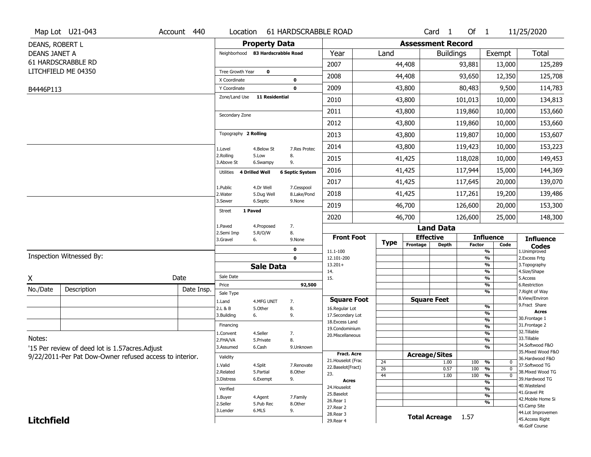|                      | Map Lot U21-043                                         | Account 440 | Location                          |                         | 61 HARDSCRABBLE ROAD      |                                         |  |                       |                              | Card <sub>1</sub> | Of 1          |                                       | 11/25/2020                                    |  |  |
|----------------------|---------------------------------------------------------|-------------|-----------------------------------|-------------------------|---------------------------|-----------------------------------------|--|-----------------------|------------------------------|-------------------|---------------|---------------------------------------|-----------------------------------------------|--|--|
| DEANS, ROBERT L      |                                                         |             |                                   | <b>Property Data</b>    |                           |                                         |  |                       | <b>Assessment Record</b>     |                   |               |                                       |                                               |  |  |
| <b>DEANS JANET A</b> |                                                         |             | Neighborhood 83 Hardscrabble Road |                         |                           | Year                                    |  | Land                  |                              | <b>Buildings</b>  |               | Exempt                                | <b>Total</b>                                  |  |  |
|                      | 61 HARDSCRABBLE RD                                      |             |                                   |                         |                           | 2007                                    |  |                       | 44,408                       |                   | 93,881        | 13,000                                | 125,289                                       |  |  |
|                      | LITCHFIELD ME 04350                                     |             | Tree Growth Year                  | $\mathbf 0$             |                           | 2008                                    |  |                       | 44,408                       |                   | 93,650        | 12,350                                | 125,708                                       |  |  |
|                      |                                                         |             | X Coordinate                      |                         | 0<br>$\mathbf 0$          | 2009                                    |  |                       |                              |                   |               |                                       |                                               |  |  |
| B4446P113            |                                                         |             | Y Coordinate<br>Zone/Land Use     | 11 Residential          |                           |                                         |  |                       | 43,800                       |                   | 80,483        | 9,500                                 | 114,783                                       |  |  |
|                      |                                                         |             |                                   |                         |                           | 2010                                    |  |                       | 43,800                       |                   | 101,013       | 10,000                                | 134,813                                       |  |  |
|                      |                                                         |             | Secondary Zone                    |                         |                           | 2011                                    |  |                       | 43,800                       |                   | 119,860       | 10,000                                | 153,660                                       |  |  |
|                      |                                                         |             |                                   |                         |                           | 2012                                    |  |                       | 43,800                       |                   | 119,860       | 10,000                                | 153,660                                       |  |  |
|                      |                                                         |             | Topography 2 Rolling              |                         |                           | 2013                                    |  |                       | 43,800                       |                   | 119,807       | 10,000                                | 153,607                                       |  |  |
|                      |                                                         |             | 1.Level                           | 4.Below St              | 7.Res Protec              | 2014                                    |  |                       | 43,800                       |                   | 119,423       | 10,000                                | 153,223                                       |  |  |
|                      |                                                         |             | 2.Rolling<br>3.Above St           | 5.Low<br>6.Swampy       | 8.<br>9.                  | 2015                                    |  |                       | 41,425                       |                   | 118,028       | 10,000                                | 149,453                                       |  |  |
|                      |                                                         |             | 4 Drilled Well<br>Utilities       |                         | <b>6 Septic System</b>    | 2016                                    |  |                       | 41,425                       |                   | 117,944       | 15,000                                | 144,369                                       |  |  |
|                      |                                                         |             |                                   |                         |                           | 2017                                    |  |                       | 41,425                       |                   | 117,645       | 20,000                                | 139,070                                       |  |  |
|                      |                                                         |             | 1.Public<br>2. Water              | 4.Dr Well<br>5.Dug Well | 7.Cesspool<br>8.Lake/Pond | 2018                                    |  |                       | 41,425                       |                   | 117,261       | 19,200                                | 139,486                                       |  |  |
|                      |                                                         |             | 3.Sewer                           | 6.Septic                | 9.None                    | 2019                                    |  |                       | 46,700                       |                   | 126,600       | 20,000                                | 153,300                                       |  |  |
|                      |                                                         |             | 1 Paved<br><b>Street</b>          |                         |                           | 2020                                    |  |                       | 46,700                       |                   | 126,600       | 25,000                                | 148,300                                       |  |  |
|                      |                                                         |             | 1.Paved                           | 4.Proposed              | 7.                        |                                         |  |                       |                              | <b>Land Data</b>  |               |                                       |                                               |  |  |
|                      |                                                         |             | 2.Semi Imp<br>3.Gravel            | 5.R/O/W<br>6.           | 8.<br>9.None              | <b>Front Foot</b>                       |  | <b>Type</b>           | <b>Effective</b>             |                   |               | <b>Influence</b>                      | <b>Influence</b>                              |  |  |
|                      |                                                         |             |                                   |                         | $\mathbf 0$               | 11.1-100                                |  |                       | Frontage                     | <b>Depth</b>      | <b>Factor</b> | Code<br>$\frac{9}{6}$                 | <b>Codes</b><br>1.Unimproved<br>2.Excess Frtg |  |  |
|                      | Inspection Witnessed By:                                |             |                                   |                         | 0                         | 12.101-200                              |  |                       |                              |                   |               | $\overline{\frac{9}{6}}$              |                                               |  |  |
|                      |                                                         |             |                                   | <b>Sale Data</b>        |                           | $13.201+$<br>14.                        |  |                       |                              |                   |               | %<br>%                                | 3. Topography<br>4.Size/Shape                 |  |  |
| χ                    |                                                         | Date        | Sale Date                         |                         |                           | 15.                                     |  |                       |                              |                   |               | %                                     | 5.Access                                      |  |  |
| No./Date             | Description                                             | Date Insp.  | Price                             |                         | 92,500                    |                                         |  |                       |                              |                   |               | %<br>%                                | 6.Restriction<br>7. Right of Way              |  |  |
|                      |                                                         |             | Sale Type<br>1.Land               | 4.MFG UNIT              | 7.                        | <b>Square Foot</b>                      |  |                       | <b>Square Feet</b>           |                   |               |                                       | 8.View/Environ                                |  |  |
|                      |                                                         |             | 2.L & B                           | 5.Other                 | 8.                        | 16.Regular Lot                          |  |                       |                              |                   |               | %                                     | 9. Fract Share                                |  |  |
|                      |                                                         |             | 3.Building                        | 6.                      | 9.                        | 17.Secondary Lot                        |  |                       |                              |                   |               | %<br>%                                | <b>Acres</b><br>30. Frontage 1                |  |  |
|                      |                                                         |             | Financing                         |                         |                           | 18.Excess Land<br>19.Condominium        |  |                       |                              |                   |               | %                                     | 31. Frontage 2                                |  |  |
|                      |                                                         |             | 1.Convent                         | 4.Seller                | 7.                        | 20.Miscellaneous                        |  |                       |                              |                   |               | %                                     | 32.Tillable                                   |  |  |
| Notes:               |                                                         |             | 2.FHA/VA                          | 5.Private               | 8.                        |                                         |  |                       |                              |                   |               | %                                     | 33.Tillable<br>34.Softwood F&O                |  |  |
|                      | '15 Per review of deed lot is 1.57 acres. Adjust        |             | 3.Assumed                         | 6.Cash                  | 9.Unknown                 |                                         |  |                       |                              |                   |               | %                                     | 35. Mixed Wood F&O                            |  |  |
|                      | 9/22/2011-Per Pat Dow-Owner refused access to interior. |             | Validity                          |                         |                           | <b>Fract. Acre</b>                      |  |                       | <b>Acreage/Sites</b>         |                   |               |                                       | 36.Hardwood F&O                               |  |  |
|                      |                                                         |             | 1.Valid                           | 4.Split                 | 7.Renovate                | 21. Houselot (Frac<br>22.Baselot(Fract) |  | 24                    |                              | 1.00              | 100           | %<br>0                                | 37.Softwood TG                                |  |  |
|                      |                                                         |             | 2.Related                         | 5.Partial               | 8.Other                   | 23.                                     |  | $\overline{26}$<br>44 |                              | 0.57<br>1.00      | 100<br>100    | %<br>$\mathbf 0$<br>%<br>$\mathbf{0}$ | 38. Mixed Wood TG                             |  |  |
|                      |                                                         |             | 3.Distress                        | 6.Exempt                | 9.                        | <b>Acres</b>                            |  |                       |                              |                   |               | %                                     | 39.Hardwood TG                                |  |  |
|                      |                                                         | Verified    |                                   |                         | 24. Houselot              |                                         |  |                       |                              |                   | %             | 40. Wasteland                         |                                               |  |  |
|                      |                                                         | 1.Buyer     | 4.Agent                           | 7.Family                | 25.Baselot                |                                         |  |                       |                              |                   | %             | 41.Gravel Pit<br>42. Mobile Home Si   |                                               |  |  |
|                      |                                                         | 2.Seller    | 5.Pub Rec                         | 8.Other                 | 26.Rear 1                 |                                         |  |                       |                              |                   | %             | 43.Camp Site                          |                                               |  |  |
|                      |                                                         |             | 3.Lender                          | 6.MLS                   | 9.                        | 27.Rear 2                               |  |                       |                              |                   |               |                                       | 44.Lot Improvemen                             |  |  |
| <b>Litchfield</b>    |                                                         |             |                                   |                         |                           | 28. Rear 3<br>29. Rear 4                |  |                       | <b>Total Acreage</b><br>1.57 |                   |               |                                       | 45.Access Right                               |  |  |
|                      |                                                         |             |                                   |                         |                           |                                         |  |                       |                              |                   |               |                                       | 46.Golf Course                                |  |  |